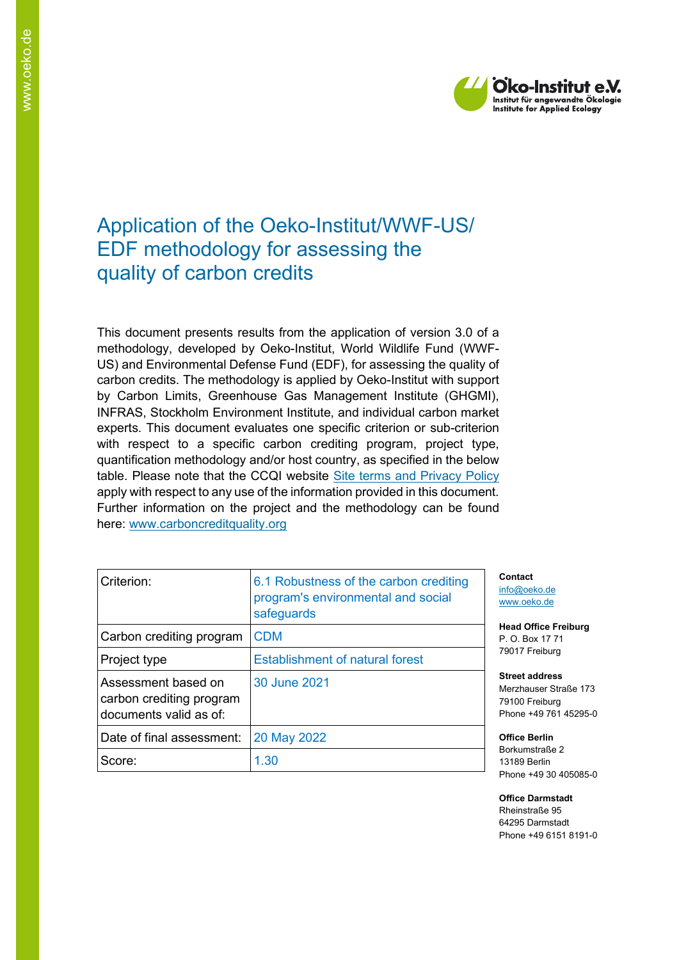

# Application of the Oeko-Institut/WWF-US/ EDF methodology for assessing the quality of carbon credits

This document presents results from the application of version 3.0 of a methodology, developed by Oeko-Institut, World Wildlife Fund (WWF-US) and Environmental Defense Fund (EDF), for assessing the quality of carbon credits. The methodology is applied by Oeko-Institut with support by Carbon Limits, Greenhouse Gas Management Institute (GHGMI), INFRAS, Stockholm Environment Institute, and individual carbon market experts. This document evaluates one specific criterion or sub-criterion with respect to a specific carbon crediting program, project type, quantification methodology and/or host country, as specified in the below table. Please note that the CCQI website [Site terms and Privacy Policy](https://carboncreditquality.org/terms.html) apply with respect to any use of the information provided in this document. Further information on the project and the methodology can be found here: [www.carboncreditquality.org](http://www.carboncreditquality.org/)

| Criterion:                                                                | 6.1 Robustness of the carbon crediting<br>program's environmental and social<br>safeguards |
|---------------------------------------------------------------------------|--------------------------------------------------------------------------------------------|
| Carbon crediting program                                                  | <b>CDM</b>                                                                                 |
| Project type                                                              | <b>Establishment of natural forest</b>                                                     |
| Assessment based on<br>carbon crediting program<br>documents valid as of: | 30 June 2021                                                                               |
| Date of final assessment:                                                 | 20 May 2022                                                                                |
| Score:                                                                    | 1.30                                                                                       |

**Contact** [info@oeko.de](mailto:info@oeko.de) [www.oeko.de](http://www.oeko.de/)

**Head Office Freiburg** P. O. Box 17 71 79017 Freiburg

**Street address** Merzhauser Straße 173 79100 Freiburg Phone +49 761 45295-0

**Office Berlin** Borkumstraße 2 13189 Berlin Phone +49 30 405085-0

**Office Darmstadt** Rheinstraße 95 64295 Darmstadt Phone +49 6151 8191-0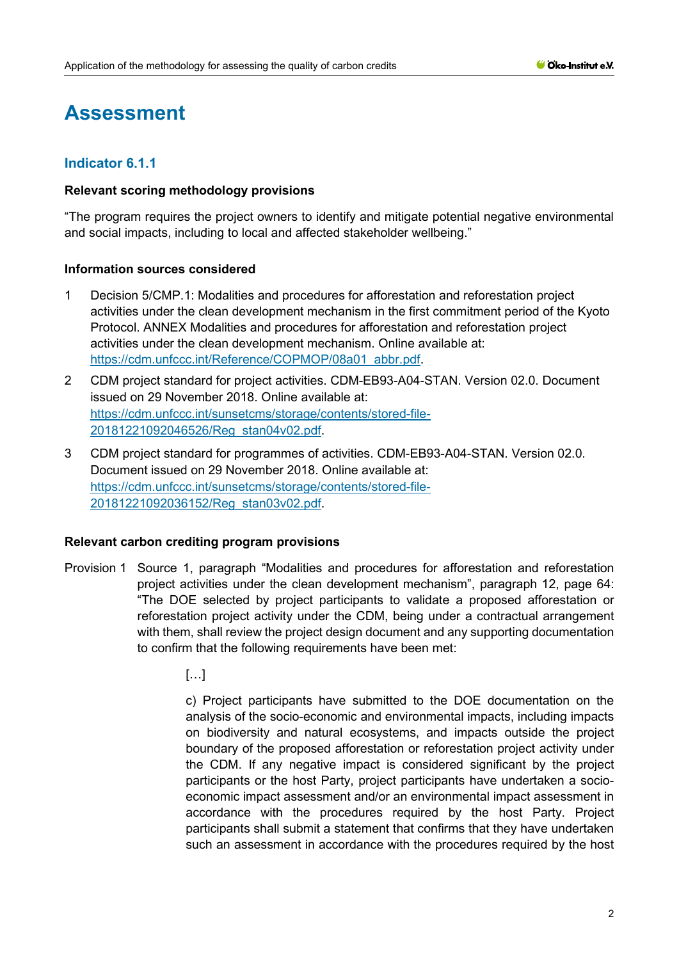# **Assessment**

# **Indicator 6.1.1**

#### **Relevant scoring methodology provisions**

"The program requires the project owners to identify and mitigate potential negative environmental and social impacts, including to local and affected stakeholder wellbeing."

## **Information sources considered**

- 1 Decision 5/CMP.1: Modalities and procedures for afforestation and reforestation project activities under the clean development mechanism in the first commitment period of the Kyoto Protocol. ANNEX Modalities and procedures for afforestation and reforestation project activities under the clean development mechanism. Online available at: [https://cdm.unfccc.int/Reference/COPMOP/08a01\\_abbr.pdf.](https://cdm.unfccc.int/Reference/COPMOP/08a01_abbr.pdf)
- 2 CDM project standard for project activities. CDM-EB93-A04-STAN. Version 02.0. Document issued on 29 November 2018. Online available at: [https://cdm.unfccc.int/sunsetcms/storage/contents/stored-file-](https://cdm.unfccc.int/sunsetcms/storage/contents/stored-file-20181221092046526/Reg_stan04v02.pdf)[20181221092046526/Reg\\_stan04v02.pdf.](https://cdm.unfccc.int/sunsetcms/storage/contents/stored-file-20181221092046526/Reg_stan04v02.pdf)
- 3 CDM project standard for programmes of activities. CDM-EB93-A04-STAN. Version 02.0. Document issued on 29 November 2018. Online available at: [https://cdm.unfccc.int/sunsetcms/storage/contents/stored-file-](https://cdm.unfccc.int/sunsetcms/storage/contents/stored-file-20181221092036152/Reg_stan03v02.pdf)[20181221092036152/Reg\\_stan03v02.pdf.](https://cdm.unfccc.int/sunsetcms/storage/contents/stored-file-20181221092036152/Reg_stan03v02.pdf)

#### **Relevant carbon crediting program provisions**

- Provision 1 Source 1, paragraph "Modalities and procedures for afforestation and reforestation project activities under the clean development mechanism", paragraph 12, page 64: "The DOE selected by project participants to validate a proposed afforestation or reforestation project activity under the CDM, being under a contractual arrangement with them, shall review the project design document and any supporting documentation to confirm that the following requirements have been met:
	- […]

c) Project participants have submitted to the DOE documentation on the analysis of the socio-economic and environmental impacts, including impacts on biodiversity and natural ecosystems, and impacts outside the project boundary of the proposed afforestation or reforestation project activity under the CDM. If any negative impact is considered significant by the project participants or the host Party, project participants have undertaken a socioeconomic impact assessment and/or an environmental impact assessment in accordance with the procedures required by the host Party. Project participants shall submit a statement that confirms that they have undertaken such an assessment in accordance with the procedures required by the host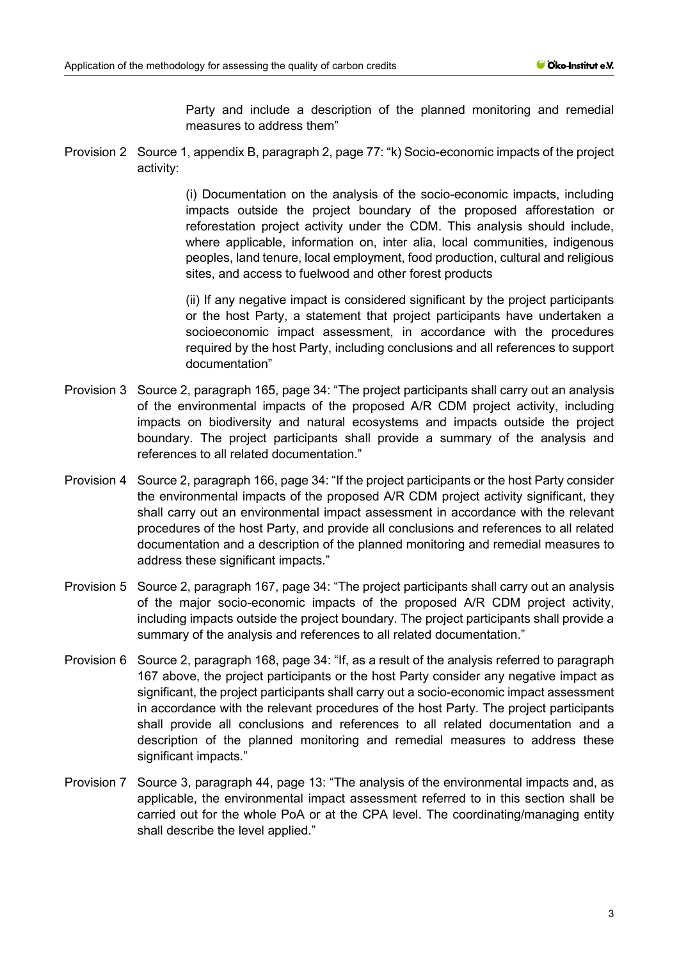Party and include a description of the planned monitoring and remedial measures to address them"

Provision 2 Source 1, appendix B, paragraph 2, page 77: "k) Socio-economic impacts of the project activity:

> (i) Documentation on the analysis of the socio-economic impacts, including impacts outside the project boundary of the proposed afforestation or reforestation project activity under the CDM. This analysis should include, where applicable, information on, inter alia, local communities, indigenous peoples, land tenure, local employment, food production, cultural and religious sites, and access to fuelwood and other forest products

> (ii) If any negative impact is considered significant by the project participants or the host Party, a statement that project participants have undertaken a socioeconomic impact assessment, in accordance with the procedures required by the host Party, including conclusions and all references to support documentation"

- Provision 3 Source 2, paragraph 165, page 34: "The project participants shall carry out an analysis of the environmental impacts of the proposed A/R CDM project activity, including impacts on biodiversity and natural ecosystems and impacts outside the project boundary. The project participants shall provide a summary of the analysis and references to all related documentation."
- Provision 4 Source 2, paragraph 166, page 34: "If the project participants or the host Party consider the environmental impacts of the proposed A/R CDM project activity significant, they shall carry out an environmental impact assessment in accordance with the relevant procedures of the host Party, and provide all conclusions and references to all related documentation and a description of the planned monitoring and remedial measures to address these significant impacts."
- Provision 5 Source 2, paragraph 167, page 34: "The project participants shall carry out an analysis of the major socio-economic impacts of the proposed A/R CDM project activity, including impacts outside the project boundary. The project participants shall provide a summary of the analysis and references to all related documentation."
- Provision 6 Source 2, paragraph 168, page 34: "If, as a result of the analysis referred to paragraph 167 above, the project participants or the host Party consider any negative impact as significant, the project participants shall carry out a socio-economic impact assessment in accordance with the relevant procedures of the host Party. The project participants shall provide all conclusions and references to all related documentation and a description of the planned monitoring and remedial measures to address these significant impacts."
- Provision 7 Source 3, paragraph 44, page 13: "The analysis of the environmental impacts and, as applicable, the environmental impact assessment referred to in this section shall be carried out for the whole PoA or at the CPA level. The coordinating/managing entity shall describe the level applied."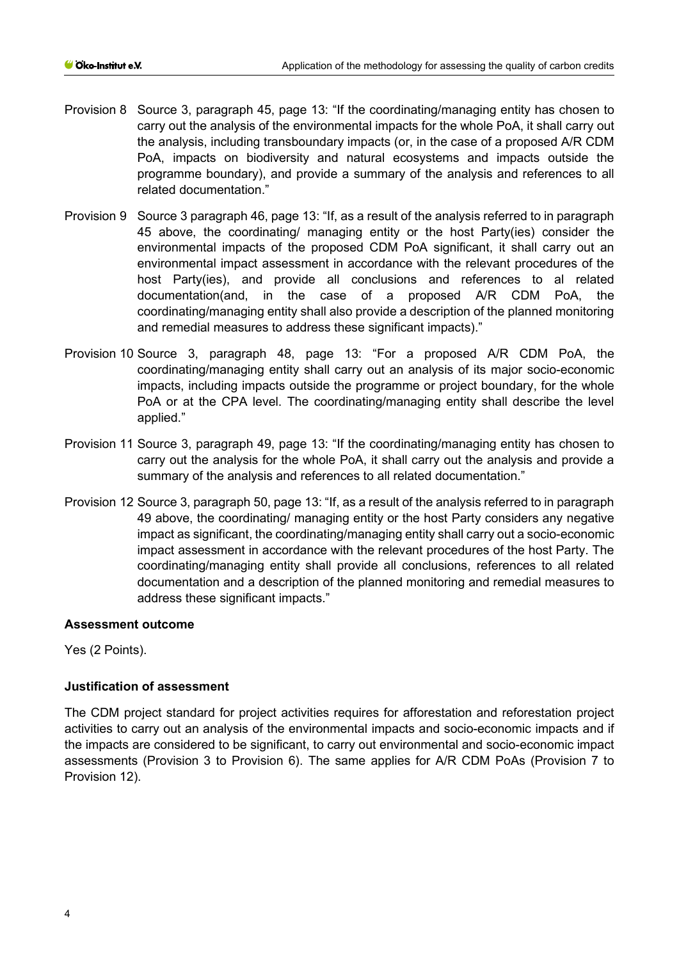- Provision 8 Source 3, paragraph 45, page 13: "If the coordinating/managing entity has chosen to carry out the analysis of the environmental impacts for the whole PoA, it shall carry out the analysis, including transboundary impacts (or, in the case of a proposed A/R CDM PoA, impacts on biodiversity and natural ecosystems and impacts outside the programme boundary), and provide a summary of the analysis and references to all related documentation."
- Provision 9 Source 3 paragraph 46, page 13: "If, as a result of the analysis referred to in paragraph 45 above, the coordinating/ managing entity or the host Party(ies) consider the environmental impacts of the proposed CDM PoA significant, it shall carry out an environmental impact assessment in accordance with the relevant procedures of the host Party(ies), and provide all conclusions and references to al related documentation(and, in the case of a proposed A/R CDM PoA, the coordinating/managing entity shall also provide a description of the planned monitoring and remedial measures to address these significant impacts)."
- Provision 10 Source 3, paragraph 48, page 13: "For a proposed A/R CDM PoA, the coordinating/managing entity shall carry out an analysis of its major socio-economic impacts, including impacts outside the programme or project boundary, for the whole PoA or at the CPA level. The coordinating/managing entity shall describe the level applied."
- Provision 11 Source 3, paragraph 49, page 13: "If the coordinating/managing entity has chosen to carry out the analysis for the whole PoA, it shall carry out the analysis and provide a summary of the analysis and references to all related documentation."
- Provision 12 Source 3, paragraph 50, page 13: "If, as a result of the analysis referred to in paragraph 49 above, the coordinating/ managing entity or the host Party considers any negative impact as significant, the coordinating/managing entity shall carry out a socio-economic impact assessment in accordance with the relevant procedures of the host Party. The coordinating/managing entity shall provide all conclusions, references to all related documentation and a description of the planned monitoring and remedial measures to address these significant impacts."

## **Assessment outcome**

Yes (2 Points).

## **Justification of assessment**

The CDM project standard for project activities requires for afforestation and reforestation project activities to carry out an analysis of the environmental impacts and socio-economic impacts and if the impacts are considered to be significant, to carry out environmental and socio-economic impact assessments (Provision 3 to Provision 6). The same applies for A/R CDM PoAs (Provision 7 to Provision 12).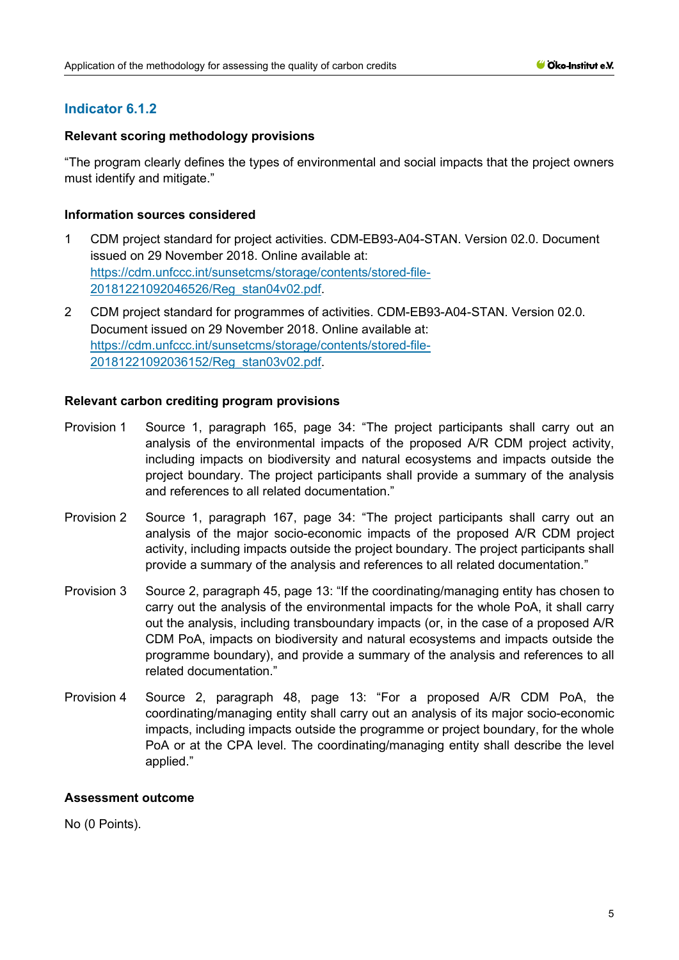# **Indicator 6.1.2**

## **Relevant scoring methodology provisions**

"The program clearly defines the types of environmental and social impacts that the project owners must identify and mitigate."

#### **Information sources considered**

- 1 CDM project standard for project activities. CDM-EB93-A04-STAN. Version 02.0. Document issued on 29 November 2018. Online available at: [https://cdm.unfccc.int/sunsetcms/storage/contents/stored-file-](https://cdm.unfccc.int/sunsetcms/storage/contents/stored-file-20181221092046526/Reg_stan04v02.pdf)[20181221092046526/Reg\\_stan04v02.pdf.](https://cdm.unfccc.int/sunsetcms/storage/contents/stored-file-20181221092046526/Reg_stan04v02.pdf)
- 2 CDM project standard for programmes of activities. CDM-EB93-A04-STAN. Version 02.0. Document issued on 29 November 2018. Online available at: [https://cdm.unfccc.int/sunsetcms/storage/contents/stored-file-](https://cdm.unfccc.int/sunsetcms/storage/contents/stored-file-20181221092036152/Reg_stan03v02.pdf)[20181221092036152/Reg\\_stan03v02.pdf.](https://cdm.unfccc.int/sunsetcms/storage/contents/stored-file-20181221092036152/Reg_stan03v02.pdf)

#### **Relevant carbon crediting program provisions**

- Provision 1 Source 1, paragraph 165, page 34: "The project participants shall carry out an analysis of the environmental impacts of the proposed A/R CDM project activity, including impacts on biodiversity and natural ecosystems and impacts outside the project boundary. The project participants shall provide a summary of the analysis and references to all related documentation."
- Provision 2 Source 1, paragraph 167, page 34: "The project participants shall carry out an analysis of the major socio-economic impacts of the proposed A/R CDM project activity, including impacts outside the project boundary. The project participants shall provide a summary of the analysis and references to all related documentation."
- Provision 3 Source 2, paragraph 45, page 13: "If the coordinating/managing entity has chosen to carry out the analysis of the environmental impacts for the whole PoA, it shall carry out the analysis, including transboundary impacts (or, in the case of a proposed A/R CDM PoA, impacts on biodiversity and natural ecosystems and impacts outside the programme boundary), and provide a summary of the analysis and references to all related documentation."
- Provision 4 Source 2, paragraph 48, page 13: "For a proposed A/R CDM PoA, the coordinating/managing entity shall carry out an analysis of its major socio-economic impacts, including impacts outside the programme or project boundary, for the whole PoA or at the CPA level. The coordinating/managing entity shall describe the level applied."

## **Assessment outcome**

No (0 Points).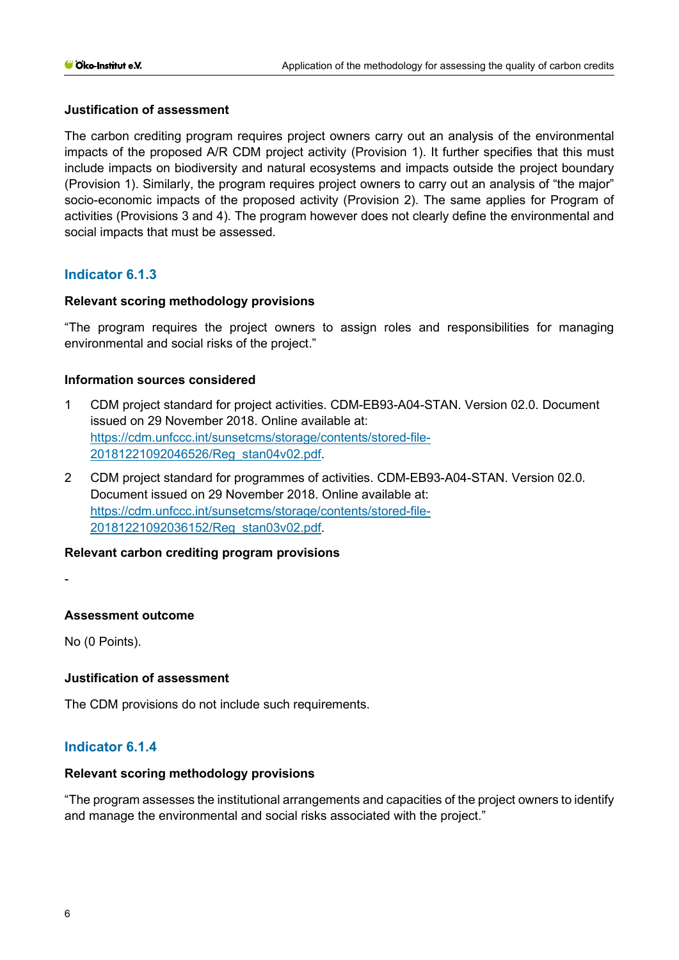## **Justification of assessment**

The carbon crediting program requires project owners carry out an analysis of the environmental impacts of the proposed A/R CDM project activity (Provision 1). It further specifies that this must include impacts on biodiversity and natural ecosystems and impacts outside the project boundary (Provision 1). Similarly, the program requires project owners to carry out an analysis of "the major" socio-economic impacts of the proposed activity (Provision 2). The same applies for Program of activities (Provisions 3 and 4). The program however does not clearly define the environmental and social impacts that must be assessed.

# **Indicator 6.1.3**

## **Relevant scoring methodology provisions**

"The program requires the project owners to assign roles and responsibilities for managing environmental and social risks of the project."

# **Information sources considered**

- 1 CDM project standard for project activities. CDM-EB93-A04-STAN. Version 02.0. Document issued on 29 November 2018. Online available at: [https://cdm.unfccc.int/sunsetcms/storage/contents/stored-file-](https://cdm.unfccc.int/sunsetcms/storage/contents/stored-file-20181221092046526/Reg_stan04v02.pdf)[20181221092046526/Reg\\_stan04v02.pdf.](https://cdm.unfccc.int/sunsetcms/storage/contents/stored-file-20181221092046526/Reg_stan04v02.pdf)
- 2 CDM project standard for programmes of activities. CDM-EB93-A04-STAN. Version 02.0. Document issued on 29 November 2018. Online available at: [https://cdm.unfccc.int/sunsetcms/storage/contents/stored-file-](https://cdm.unfccc.int/sunsetcms/storage/contents/stored-file-20181221092036152/Reg_stan03v02.pdf)[20181221092036152/Reg\\_stan03v02.pdf.](https://cdm.unfccc.int/sunsetcms/storage/contents/stored-file-20181221092036152/Reg_stan03v02.pdf)

## **Relevant carbon crediting program provisions**

-

# **Assessment outcome**

No (0 Points).

## **Justification of assessment**

The CDM provisions do not include such requirements.

# **Indicator 6.1.4**

## **Relevant scoring methodology provisions**

"The program assesses the institutional arrangements and capacities of the project owners to identify and manage the environmental and social risks associated with the project."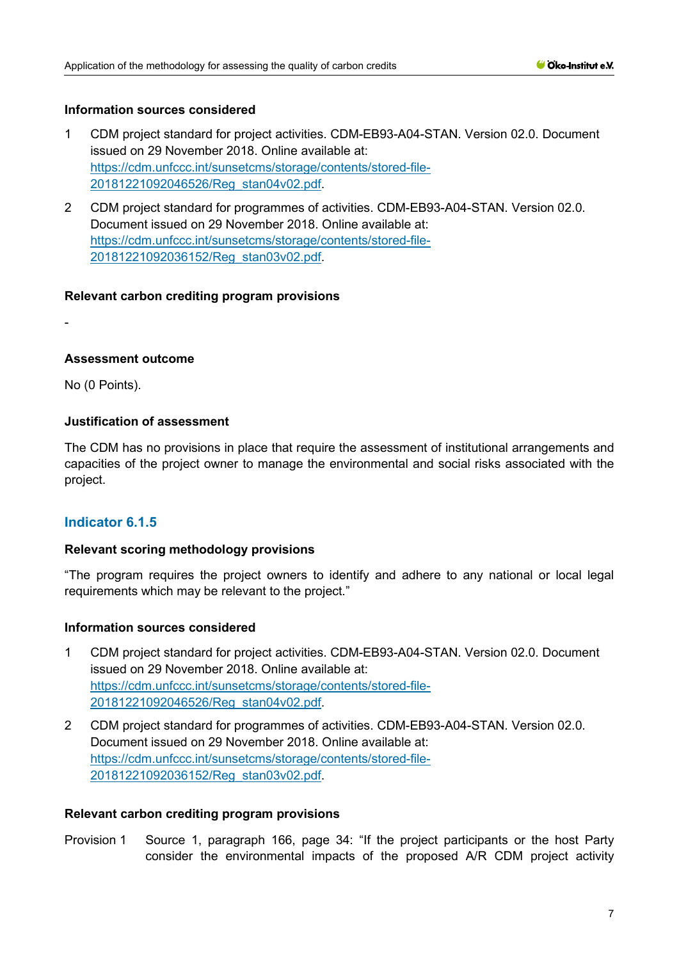#### **Information sources considered**

- 1 CDM project standard for project activities. CDM-EB93-A04-STAN. Version 02.0. Document issued on 29 November 2018. Online available at: [https://cdm.unfccc.int/sunsetcms/storage/contents/stored-file-](https://cdm.unfccc.int/sunsetcms/storage/contents/stored-file-20181221092046526/Reg_stan04v02.pdf)[20181221092046526/Reg\\_stan04v02.pdf.](https://cdm.unfccc.int/sunsetcms/storage/contents/stored-file-20181221092046526/Reg_stan04v02.pdf)
- 2 CDM project standard for programmes of activities. CDM-EB93-A04-STAN. Version 02.0. Document issued on 29 November 2018. Online available at: [https://cdm.unfccc.int/sunsetcms/storage/contents/stored-file-](https://cdm.unfccc.int/sunsetcms/storage/contents/stored-file-20181221092036152/Reg_stan03v02.pdf)[20181221092036152/Reg\\_stan03v02.pdf.](https://cdm.unfccc.int/sunsetcms/storage/contents/stored-file-20181221092036152/Reg_stan03v02.pdf)

#### **Relevant carbon crediting program provisions**

-

#### **Assessment outcome**

No (0 Points).

## **Justification of assessment**

The CDM has no provisions in place that require the assessment of institutional arrangements and capacities of the project owner to manage the environmental and social risks associated with the project.

## **Indicator 6.1.5**

#### **Relevant scoring methodology provisions**

"The program requires the project owners to identify and adhere to any national or local legal requirements which may be relevant to the project."

#### **Information sources considered**

- 1 CDM project standard for project activities. CDM-EB93-A04-STAN. Version 02.0. Document issued on 29 November 2018. Online available at: [https://cdm.unfccc.int/sunsetcms/storage/contents/stored-file-](https://cdm.unfccc.int/sunsetcms/storage/contents/stored-file-20181221092046526/Reg_stan04v02.pdf)[20181221092046526/Reg\\_stan04v02.pdf.](https://cdm.unfccc.int/sunsetcms/storage/contents/stored-file-20181221092046526/Reg_stan04v02.pdf)
- 2 CDM project standard for programmes of activities. CDM-EB93-A04-STAN. Version 02.0. Document issued on 29 November 2018. Online available at: [https://cdm.unfccc.int/sunsetcms/storage/contents/stored-file-](https://cdm.unfccc.int/sunsetcms/storage/contents/stored-file-20181221092036152/Reg_stan03v02.pdf)[20181221092036152/Reg\\_stan03v02.pdf.](https://cdm.unfccc.int/sunsetcms/storage/contents/stored-file-20181221092036152/Reg_stan03v02.pdf)

#### **Relevant carbon crediting program provisions**

Provision 1 Source 1, paragraph 166, page 34: "If the project participants or the host Party consider the environmental impacts of the proposed A/R CDM project activity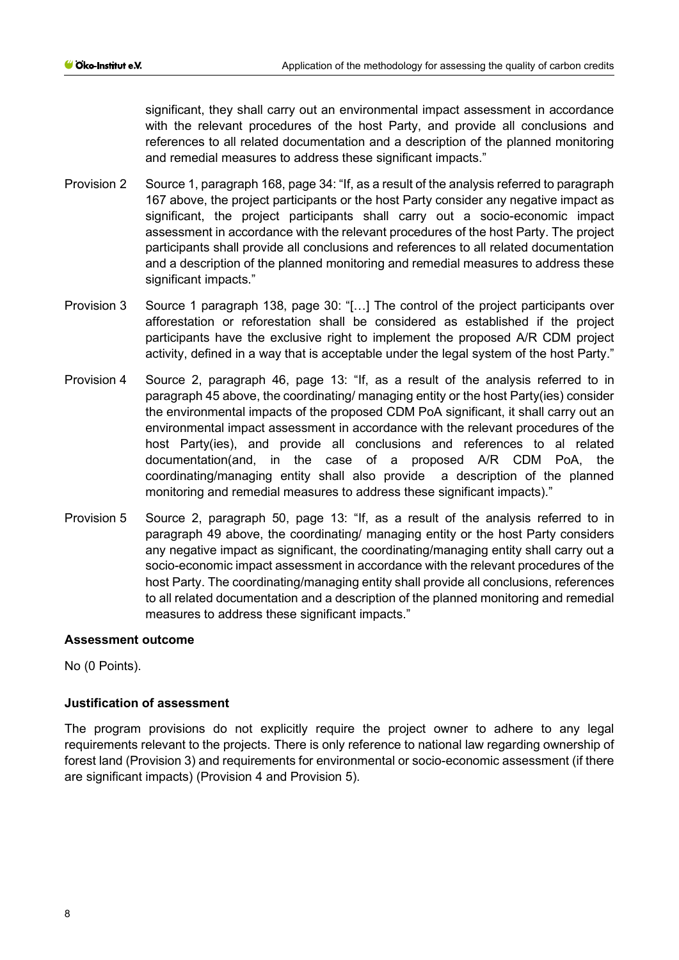significant, they shall carry out an environmental impact assessment in accordance with the relevant procedures of the host Party, and provide all conclusions and references to all related documentation and a description of the planned monitoring and remedial measures to address these significant impacts."

- Provision 2 Source 1, paragraph 168, page 34: "If, as a result of the analysis referred to paragraph 167 above, the project participants or the host Party consider any negative impact as significant, the project participants shall carry out a socio-economic impact assessment in accordance with the relevant procedures of the host Party. The project participants shall provide all conclusions and references to all related documentation and a description of the planned monitoring and remedial measures to address these significant impacts."
- Provision 3 Source 1 paragraph 138, page 30: "[…] The control of the project participants over afforestation or reforestation shall be considered as established if the project participants have the exclusive right to implement the proposed A/R CDM project activity, defined in a way that is acceptable under the legal system of the host Party."
- Provision 4 Source 2, paragraph 46, page 13: "If, as a result of the analysis referred to in paragraph 45 above, the coordinating/ managing entity or the host Party(ies) consider the environmental impacts of the proposed CDM PoA significant, it shall carry out an environmental impact assessment in accordance with the relevant procedures of the host Party(ies), and provide all conclusions and references to al related documentation(and, in the case of a proposed A/R CDM PoA, the coordinating/managing entity shall also provide a description of the planned monitoring and remedial measures to address these significant impacts)."
- Provision 5 Source 2, paragraph 50, page 13: "If, as a result of the analysis referred to in paragraph 49 above, the coordinating/ managing entity or the host Party considers any negative impact as significant, the coordinating/managing entity shall carry out a socio-economic impact assessment in accordance with the relevant procedures of the host Party. The coordinating/managing entity shall provide all conclusions, references to all related documentation and a description of the planned monitoring and remedial measures to address these significant impacts."

## **Assessment outcome**

No (0 Points).

## **Justification of assessment**

The program provisions do not explicitly require the project owner to adhere to any legal requirements relevant to the projects. There is only reference to national law regarding ownership of forest land (Provision 3) and requirements for environmental or socio-economic assessment (if there are significant impacts) (Provision 4 and Provision 5).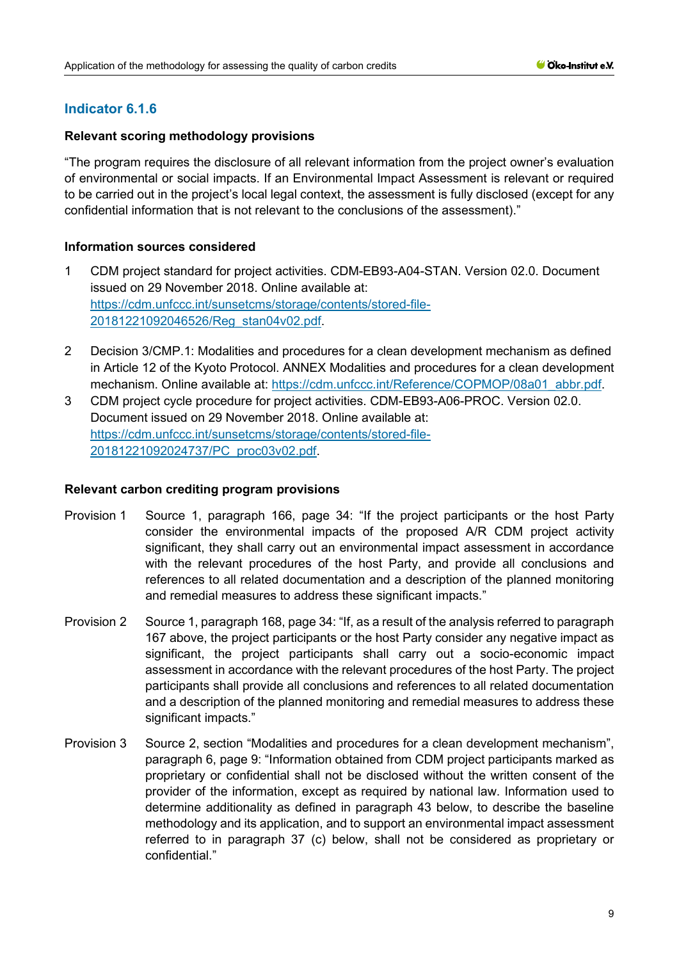# **Indicator 6.1.6**

## **Relevant scoring methodology provisions**

"The program requires the disclosure of all relevant information from the project owner's evaluation of environmental or social impacts. If an Environmental Impact Assessment is relevant or required to be carried out in the project's local legal context, the assessment is fully disclosed (except for any confidential information that is not relevant to the conclusions of the assessment)."

## **Information sources considered**

- 1 CDM project standard for project activities. CDM-EB93-A04-STAN. Version 02.0. Document issued on 29 November 2018. Online available at: [https://cdm.unfccc.int/sunsetcms/storage/contents/stored-file-](https://cdm.unfccc.int/sunsetcms/storage/contents/stored-file-20181221092046526/Reg_stan04v02.pdf)[20181221092046526/Reg\\_stan04v02.pdf.](https://cdm.unfccc.int/sunsetcms/storage/contents/stored-file-20181221092046526/Reg_stan04v02.pdf)
- 2 Decision 3/CMP.1: Modalities and procedures for a clean development mechanism as defined in Article 12 of the Kyoto Protocol. ANNEX Modalities and procedures for a clean development mechanism. Online available at: [https://cdm.unfccc.int/Reference/COPMOP/08a01\\_abbr.pdf.](https://cdm.unfccc.int/Reference/COPMOP/08a01_abbr.pdf)
- 3 CDM project cycle procedure for project activities. CDM-EB93-A06-PROC. Version 02.0. Document issued on 29 November 2018. Online available at: [https://cdm.unfccc.int/sunsetcms/storage/contents/stored-file-](https://cdm.unfccc.int/sunsetcms/storage/contents/stored-file-20181221092024737/PC_proc03v02.pdf)[20181221092024737/PC\\_proc03v02.pdf.](https://cdm.unfccc.int/sunsetcms/storage/contents/stored-file-20181221092024737/PC_proc03v02.pdf)

- Provision 1 Source 1, paragraph 166, page 34: "If the project participants or the host Party consider the environmental impacts of the proposed A/R CDM project activity significant, they shall carry out an environmental impact assessment in accordance with the relevant procedures of the host Party, and provide all conclusions and references to all related documentation and a description of the planned monitoring and remedial measures to address these significant impacts."
- Provision 2 Source 1, paragraph 168, page 34: "If, as a result of the analysis referred to paragraph 167 above, the project participants or the host Party consider any negative impact as significant, the project participants shall carry out a socio-economic impact assessment in accordance with the relevant procedures of the host Party. The project participants shall provide all conclusions and references to all related documentation and a description of the planned monitoring and remedial measures to address these significant impacts."
- Provision 3 Source 2, section "Modalities and procedures for a clean development mechanism", paragraph 6, page 9: "Information obtained from CDM project participants marked as proprietary or confidential shall not be disclosed without the written consent of the provider of the information, except as required by national law. Information used to determine additionality as defined in paragraph 43 below, to describe the baseline methodology and its application, and to support an environmental impact assessment referred to in paragraph 37 (c) below, shall not be considered as proprietary or confidential."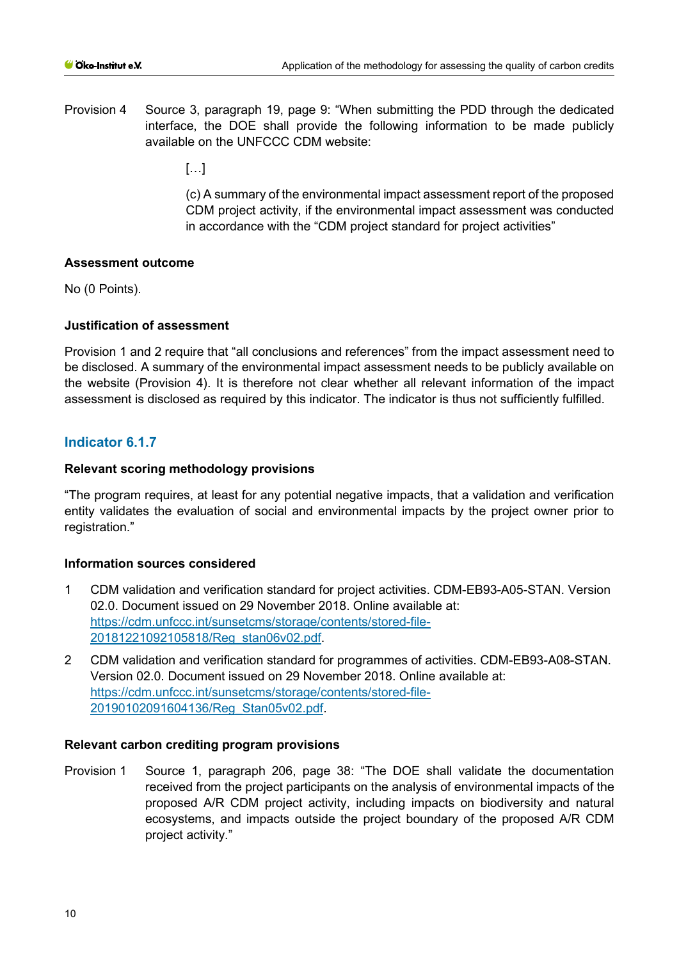Provision 4 Source 3, paragraph 19, page 9: "When submitting the PDD through the dedicated interface, the DOE shall provide the following information to be made publicly available on the UNFCCC CDM website:

[…]

(c) A summary of the environmental impact assessment report of the proposed CDM project activity, if the environmental impact assessment was conducted in accordance with the "CDM project standard for project activities"

## **Assessment outcome**

No (0 Points).

# **Justification of assessment**

Provision 1 and 2 require that "all conclusions and references" from the impact assessment need to be disclosed. A summary of the environmental impact assessment needs to be publicly available on the website (Provision 4). It is therefore not clear whether all relevant information of the impact assessment is disclosed as required by this indicator. The indicator is thus not sufficiently fulfilled.

# **Indicator 6.1.7**

# **Relevant scoring methodology provisions**

"The program requires, at least for any potential negative impacts, that a validation and verification entity validates the evaluation of social and environmental impacts by the project owner prior to registration."

## **Information sources considered**

- 1 CDM validation and verification standard for project activities. CDM-EB93-A05-STAN. Version 02.0. Document issued on 29 November 2018. Online available at: [https://cdm.unfccc.int/sunsetcms/storage/contents/stored-file-](https://cdm.unfccc.int/sunsetcms/storage/contents/stored-file-20181221092105818/Reg_stan06v02.pdf)[20181221092105818/Reg\\_stan06v02.pdf.](https://cdm.unfccc.int/sunsetcms/storage/contents/stored-file-20181221092105818/Reg_stan06v02.pdf)
- 2 CDM validation and verification standard for programmes of activities. CDM-EB93-A08-STAN. Version 02.0. Document issued on 29 November 2018. Online available at: [https://cdm.unfccc.int/sunsetcms/storage/contents/stored-file-](https://cdm.unfccc.int/sunsetcms/storage/contents/stored-file-20190102091604136/Reg_Stan05v02.pdf)[20190102091604136/Reg\\_Stan05v02.pdf.](https://cdm.unfccc.int/sunsetcms/storage/contents/stored-file-20190102091604136/Reg_Stan05v02.pdf)

## **Relevant carbon crediting program provisions**

Provision 1 Source 1, paragraph 206, page 38: "The DOE shall validate the documentation received from the project participants on the analysis of environmental impacts of the proposed A/R CDM project activity, including impacts on biodiversity and natural ecosystems, and impacts outside the project boundary of the proposed A/R CDM project activity."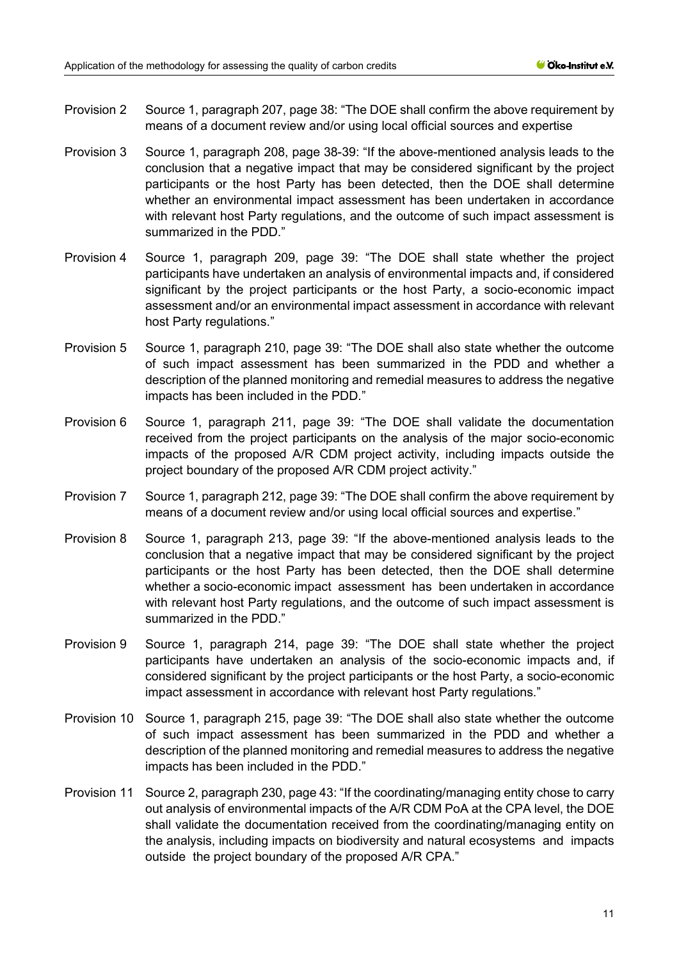- Provision 2 Source 1, paragraph 207, page 38: "The DOE shall confirm the above requirement by means of a document review and/or using local official sources and expertise
- Provision 3 Source 1, paragraph 208, page 38-39: "If the above-mentioned analysis leads to the conclusion that a negative impact that may be considered significant by the project participants or the host Party has been detected, then the DOE shall determine whether an environmental impact assessment has been undertaken in accordance with relevant host Party regulations, and the outcome of such impact assessment is summarized in the PDD."
- Provision 4 Source 1, paragraph 209, page 39: "The DOE shall state whether the project participants have undertaken an analysis of environmental impacts and, if considered significant by the project participants or the host Party, a socio-economic impact assessment and/or an environmental impact assessment in accordance with relevant host Party regulations."
- Provision 5 Source 1, paragraph 210, page 39: "The DOE shall also state whether the outcome of such impact assessment has been summarized in the PDD and whether a description of the planned monitoring and remedial measures to address the negative impacts has been included in the PDD."
- Provision 6 Source 1, paragraph 211, page 39: "The DOE shall validate the documentation received from the project participants on the analysis of the major socio-economic impacts of the proposed A/R CDM project activity, including impacts outside the project boundary of the proposed A/R CDM project activity."
- Provision 7 Source 1, paragraph 212, page 39: "The DOE shall confirm the above requirement by means of a document review and/or using local official sources and expertise."
- Provision 8 Source 1, paragraph 213, page 39: "If the above-mentioned analysis leads to the conclusion that a negative impact that may be considered significant by the project participants or the host Party has been detected, then the DOE shall determine whether a socio-economic impact assessment has been undertaken in accordance with relevant host Party regulations, and the outcome of such impact assessment is summarized in the PDD."
- Provision 9 Source 1, paragraph 214, page 39: "The DOE shall state whether the project participants have undertaken an analysis of the socio-economic impacts and, if considered significant by the project participants or the host Party, a socio-economic impact assessment in accordance with relevant host Party regulations."
- Provision 10 Source 1, paragraph 215, page 39: "The DOE shall also state whether the outcome of such impact assessment has been summarized in the PDD and whether a description of the planned monitoring and remedial measures to address the negative impacts has been included in the PDD."
- Provision 11 Source 2, paragraph 230, page 43: "If the coordinating/managing entity chose to carry out analysis of environmental impacts of the A/R CDM PoA at the CPA level, the DOE shall validate the documentation received from the coordinating/managing entity on the analysis, including impacts on biodiversity and natural ecosystems and impacts outside the project boundary of the proposed A/R CPA."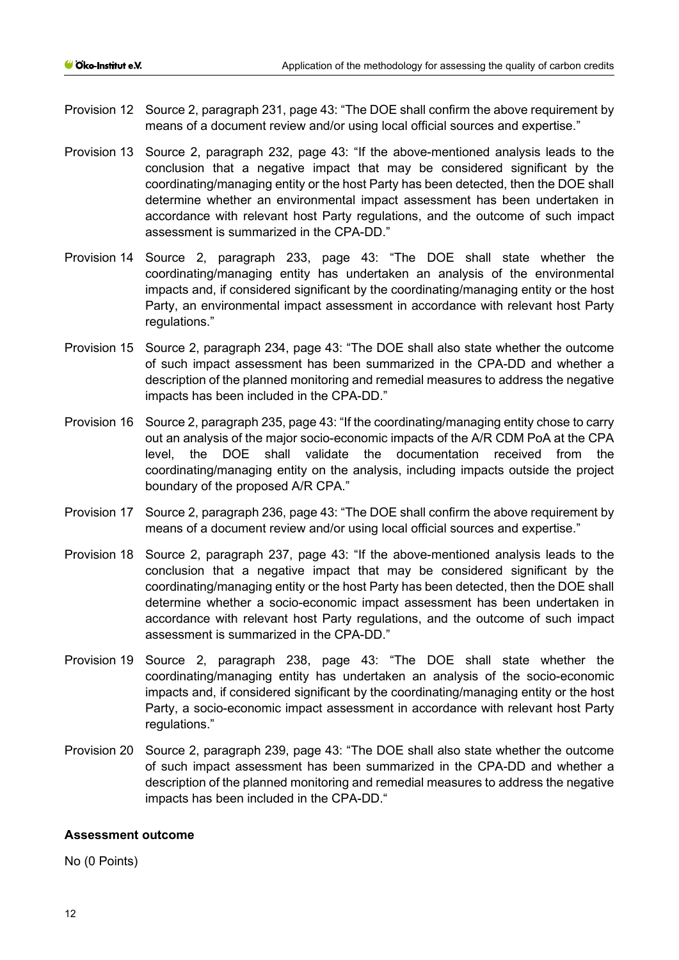- Provision 12 Source 2, paragraph 231, page 43: "The DOE shall confirm the above requirement by means of a document review and/or using local official sources and expertise."
- Provision 13 Source 2, paragraph 232, page 43: "If the above-mentioned analysis leads to the conclusion that a negative impact that may be considered significant by the coordinating/managing entity or the host Party has been detected, then the DOE shall determine whether an environmental impact assessment has been undertaken in accordance with relevant host Party regulations, and the outcome of such impact assessment is summarized in the CPA-DD."
- Provision 14 Source 2, paragraph 233, page 43: "The DOE shall state whether the coordinating/managing entity has undertaken an analysis of the environmental impacts and, if considered significant by the coordinating/managing entity or the host Party, an environmental impact assessment in accordance with relevant host Party regulations."
- Provision 15 Source 2, paragraph 234, page 43: "The DOE shall also state whether the outcome of such impact assessment has been summarized in the CPA-DD and whether a description of the planned monitoring and remedial measures to address the negative impacts has been included in the CPA-DD."
- Provision 16 Source 2, paragraph 235, page 43: "If the coordinating/managing entity chose to carry out an analysis of the major socio-economic impacts of the A/R CDM PoA at the CPA level, the DOE shall validate the documentation received from the coordinating/managing entity on the analysis, including impacts outside the project boundary of the proposed A/R CPA."
- Provision 17 Source 2, paragraph 236, page 43: "The DOE shall confirm the above requirement by means of a document review and/or using local official sources and expertise."
- Provision 18 Source 2, paragraph 237, page 43: "If the above-mentioned analysis leads to the conclusion that a negative impact that may be considered significant by the coordinating/managing entity or the host Party has been detected, then the DOE shall determine whether a socio-economic impact assessment has been undertaken in accordance with relevant host Party regulations, and the outcome of such impact assessment is summarized in the CPA-DD."
- Provision 19 Source 2, paragraph 238, page 43: "The DOE shall state whether the coordinating/managing entity has undertaken an analysis of the socio-economic impacts and, if considered significant by the coordinating/managing entity or the host Party, a socio-economic impact assessment in accordance with relevant host Party regulations."
- Provision 20 Source 2, paragraph 239, page 43: "The DOE shall also state whether the outcome of such impact assessment has been summarized in the CPA-DD and whether a description of the planned monitoring and remedial measures to address the negative impacts has been included in the CPA-DD."

#### **Assessment outcome**

No (0 Points)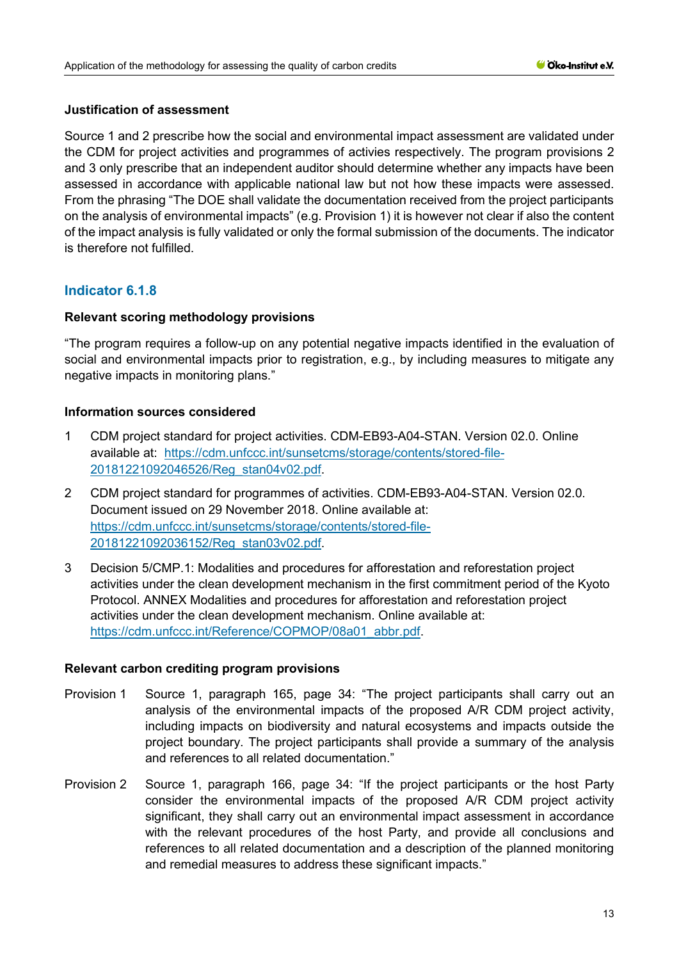## **Justification of assessment**

Source 1 and 2 prescribe how the social and environmental impact assessment are validated under the CDM for project activities and programmes of activies respectively. The program provisions 2 and 3 only prescribe that an independent auditor should determine whether any impacts have been assessed in accordance with applicable national law but not how these impacts were assessed. From the phrasing "The DOE shall validate the documentation received from the project participants on the analysis of environmental impacts" (e.g. Provision 1) it is however not clear if also the content of the impact analysis is fully validated or only the formal submission of the documents. The indicator is therefore not fulfilled.

# **Indicator 6.1.8**

#### **Relevant scoring methodology provisions**

"The program requires a follow-up on any potential negative impacts identified in the evaluation of social and environmental impacts prior to registration, e.g., by including measures to mitigate any negative impacts in monitoring plans."

#### **Information sources considered**

- 1 CDM project standard for project activities. CDM-EB93-A04-STAN. Version 02.0. Online available at: [https://cdm.unfccc.int/sunsetcms/storage/contents/stored-file-](https://cdm.unfccc.int/sunsetcms/storage/contents/stored-file-20181221092046526/Reg_stan04v02.pdf)[20181221092046526/Reg\\_stan04v02.pdf.](https://cdm.unfccc.int/sunsetcms/storage/contents/stored-file-20181221092046526/Reg_stan04v02.pdf)
- 2 CDM project standard for programmes of activities. CDM-EB93-A04-STAN. Version 02.0. Document issued on 29 November 2018. Online available at: [https://cdm.unfccc.int/sunsetcms/storage/contents/stored-file-](https://cdm.unfccc.int/sunsetcms/storage/contents/stored-file-20181221092036152/Reg_stan03v02.pdf)[20181221092036152/Reg\\_stan03v02.pdf.](https://cdm.unfccc.int/sunsetcms/storage/contents/stored-file-20181221092036152/Reg_stan03v02.pdf)
- 3 Decision 5/CMP.1: Modalities and procedures for afforestation and reforestation project activities under the clean development mechanism in the first commitment period of the Kyoto Protocol. ANNEX Modalities and procedures for afforestation and reforestation project activities under the clean development mechanism. Online available at: [https://cdm.unfccc.int/Reference/COPMOP/08a01\\_abbr.pdf.](https://cdm.unfccc.int/Reference/COPMOP/08a01_abbr.pdf)

- Provision 1 Source 1, paragraph 165, page 34: "The project participants shall carry out an analysis of the environmental impacts of the proposed A/R CDM project activity, including impacts on biodiversity and natural ecosystems and impacts outside the project boundary. The project participants shall provide a summary of the analysis and references to all related documentation."
- Provision 2 Source 1, paragraph 166, page 34: "If the project participants or the host Party consider the environmental impacts of the proposed A/R CDM project activity significant, they shall carry out an environmental impact assessment in accordance with the relevant procedures of the host Party, and provide all conclusions and references to all related documentation and a description of the planned monitoring and remedial measures to address these significant impacts."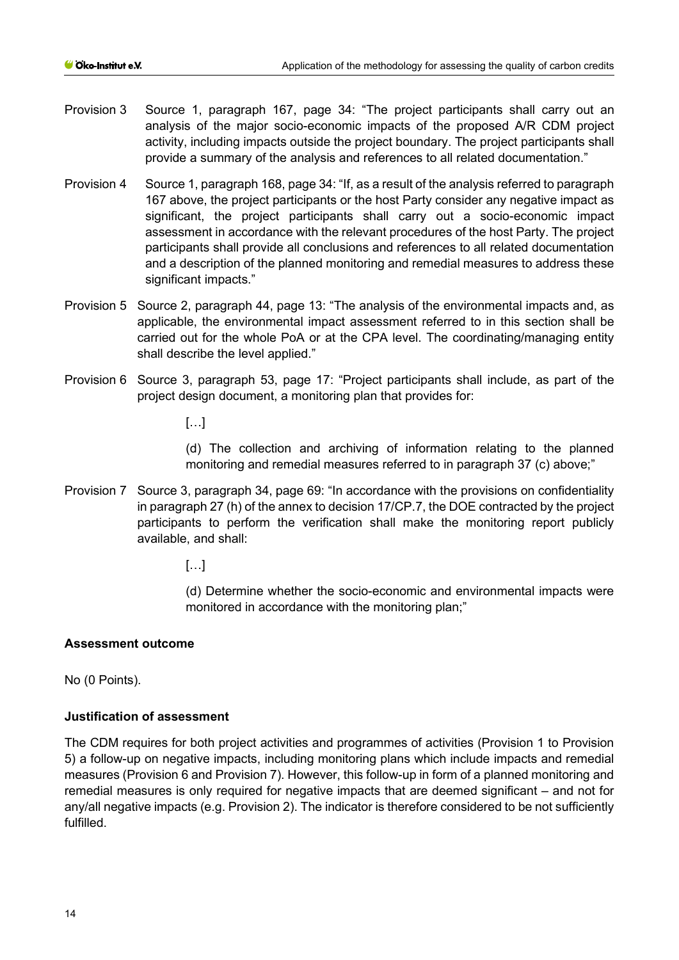- Provision 3 Source 1, paragraph 167, page 34: "The project participants shall carry out an analysis of the major socio-economic impacts of the proposed A/R CDM project activity, including impacts outside the project boundary. The project participants shall provide a summary of the analysis and references to all related documentation."
- Provision 4 Source 1, paragraph 168, page 34: "If, as a result of the analysis referred to paragraph 167 above, the project participants or the host Party consider any negative impact as significant, the project participants shall carry out a socio-economic impact assessment in accordance with the relevant procedures of the host Party. The project participants shall provide all conclusions and references to all related documentation and a description of the planned monitoring and remedial measures to address these significant impacts."
- Provision 5 Source 2, paragraph 44, page 13: "The analysis of the environmental impacts and, as applicable, the environmental impact assessment referred to in this section shall be carried out for the whole PoA or at the CPA level. The coordinating/managing entity shall describe the level applied."
- Provision 6 Source 3, paragraph 53, page 17: "Project participants shall include, as part of the project design document, a monitoring plan that provides for:

[…]

(d) The collection and archiving of information relating to the planned monitoring and remedial measures referred to in paragraph 37 (c) above;"

Provision 7 Source 3, paragraph 34, page 69: "In accordance with the provisions on confidentiality in paragraph 27 (h) of the annex to decision 17/CP.7, the DOE contracted by the project participants to perform the verification shall make the monitoring report publicly available, and shall:

 $[...]$ 

(d) Determine whether the socio-economic and environmental impacts were monitored in accordance with the monitoring plan;"

# **Assessment outcome**

No (0 Points).

## **Justification of assessment**

The CDM requires for both project activities and programmes of activities (Provision 1 to Provision 5) a follow-up on negative impacts, including monitoring plans which include impacts and remedial measures (Provision 6 and Provision 7). However, this follow-up in form of a planned monitoring and remedial measures is only required for negative impacts that are deemed significant – and not for any/all negative impacts (e.g. Provision 2). The indicator is therefore considered to be not sufficiently fulfilled.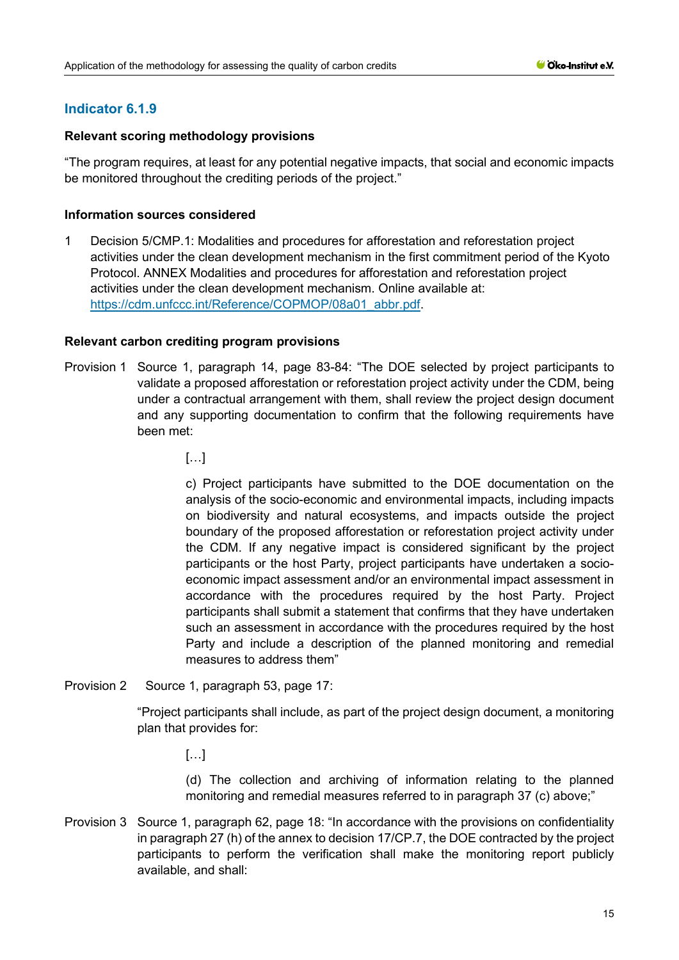# **Indicator 6.1.9**

## **Relevant scoring methodology provisions**

"The program requires, at least for any potential negative impacts, that social and economic impacts be monitored throughout the crediting periods of the project."

## **Information sources considered**

1 Decision 5/CMP.1: Modalities and procedures for afforestation and reforestation project activities under the clean development mechanism in the first commitment period of the Kyoto Protocol. ANNEX Modalities and procedures for afforestation and reforestation project activities under the clean development mechanism. Online available at: [https://cdm.unfccc.int/Reference/COPMOP/08a01\\_abbr.pdf.](https://cdm.unfccc.int/Reference/COPMOP/08a01_abbr.pdf)

## **Relevant carbon crediting program provisions**

- Provision 1 Source 1, paragraph 14, page 83-84: "The DOE selected by project participants to validate a proposed afforestation or reforestation project activity under the CDM, being under a contractual arrangement with them, shall review the project design document and any supporting documentation to confirm that the following requirements have been met:
	- $[...]$

c) Project participants have submitted to the DOE documentation on the analysis of the socio-economic and environmental impacts, including impacts on biodiversity and natural ecosystems, and impacts outside the project boundary of the proposed afforestation or reforestation project activity under the CDM. If any negative impact is considered significant by the project participants or the host Party, project participants have undertaken a socioeconomic impact assessment and/or an environmental impact assessment in accordance with the procedures required by the host Party. Project participants shall submit a statement that confirms that they have undertaken such an assessment in accordance with the procedures required by the host Party and include a description of the planned monitoring and remedial measures to address them"

Provision 2 Source 1, paragraph 53, page 17:

"Project participants shall include, as part of the project design document, a monitoring plan that provides for:

 $\left[\ldots\right]$ 

(d) The collection and archiving of information relating to the planned monitoring and remedial measures referred to in paragraph 37 (c) above;"

Provision 3 Source 1, paragraph 62, page 18: "In accordance with the provisions on confidentiality in paragraph 27 (h) of the annex to decision 17/CP.7, the DOE contracted by the project participants to perform the verification shall make the monitoring report publicly available, and shall: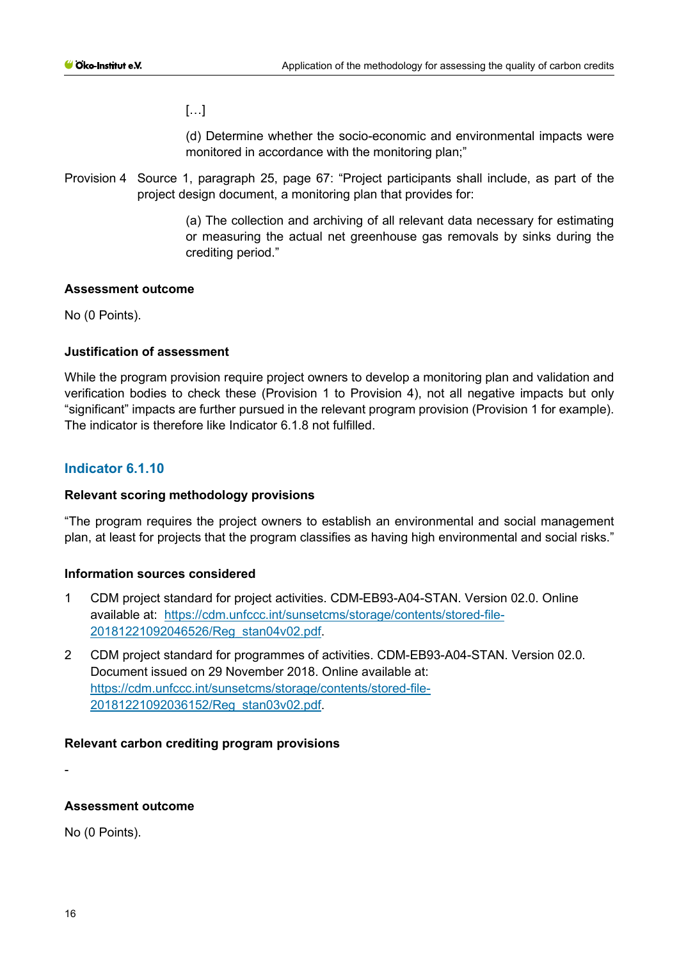$\left[\ldots\right]$ 

(d) Determine whether the socio-economic and environmental impacts were monitored in accordance with the monitoring plan;"

Provision 4 Source 1, paragraph 25, page 67: "Project participants shall include, as part of the project design document, a monitoring plan that provides for:

> (a) The collection and archiving of all relevant data necessary for estimating or measuring the actual net greenhouse gas removals by sinks during the crediting period."

## **Assessment outcome**

No (0 Points).

# **Justification of assessment**

While the program provision require project owners to develop a monitoring plan and validation and verification bodies to check these (Provision 1 to Provision 4), not all negative impacts but only "significant" impacts are further pursued in the relevant program provision (Provision 1 for example). The indicator is therefore like Indicator 6.1.8 not fulfilled.

# **Indicator 6.1.10**

## **Relevant scoring methodology provisions**

"The program requires the project owners to establish an environmental and social management plan, at least for projects that the program classifies as having high environmental and social risks."

## **Information sources considered**

- 1 CDM project standard for project activities. CDM-EB93-A04-STAN. Version 02.0. Online available at: [https://cdm.unfccc.int/sunsetcms/storage/contents/stored-file-](https://cdm.unfccc.int/sunsetcms/storage/contents/stored-file-20181221092046526/Reg_stan04v02.pdf)[20181221092046526/Reg\\_stan04v02.pdf.](https://cdm.unfccc.int/sunsetcms/storage/contents/stored-file-20181221092046526/Reg_stan04v02.pdf)
- 2 CDM project standard for programmes of activities. CDM-EB93-A04-STAN. Version 02.0. Document issued on 29 November 2018. Online available at: [https://cdm.unfccc.int/sunsetcms/storage/contents/stored-file-](https://cdm.unfccc.int/sunsetcms/storage/contents/stored-file-20181221092036152/Reg_stan03v02.pdf)[20181221092036152/Reg\\_stan03v02.pdf.](https://cdm.unfccc.int/sunsetcms/storage/contents/stored-file-20181221092036152/Reg_stan03v02.pdf)

## **Relevant carbon crediting program provisions**

-

## **Assessment outcome**

No (0 Points).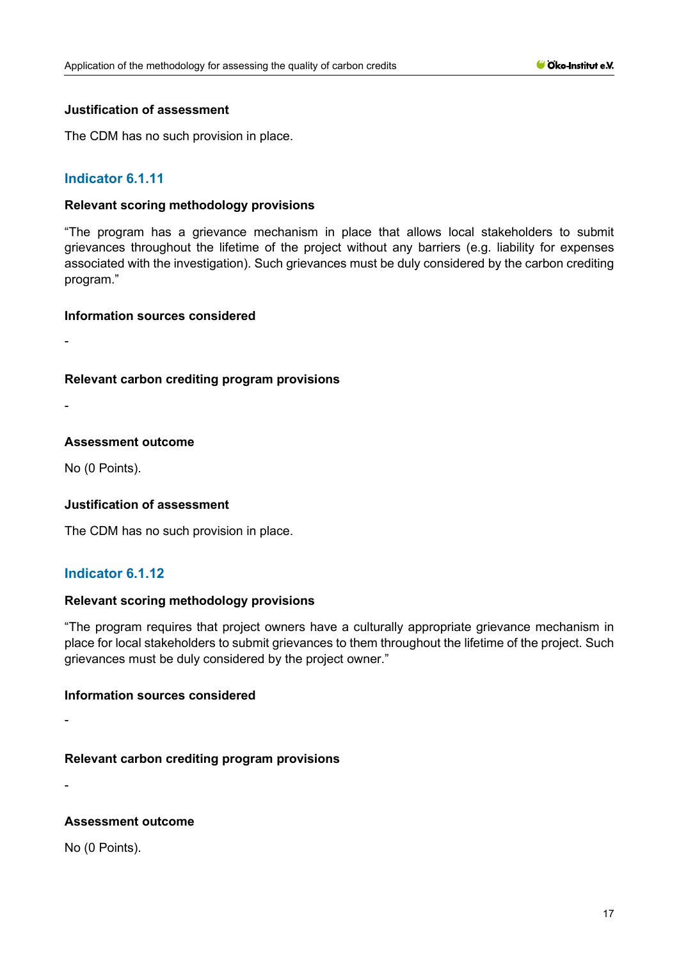#### **Justification of assessment**

The CDM has no such provision in place.

# **Indicator 6.1.11**

#### **Relevant scoring methodology provisions**

"The program has a grievance mechanism in place that allows local stakeholders to submit grievances throughout the lifetime of the project without any barriers (e.g. liability for expenses associated with the investigation). Such grievances must be duly considered by the carbon crediting program."

#### **Information sources considered**

-

## **Relevant carbon crediting program provisions**

-

#### **Assessment outcome**

No (0 Points).

## **Justification of assessment**

The CDM has no such provision in place.

## **Indicator 6.1.12**

#### **Relevant scoring methodology provisions**

"The program requires that project owners have a culturally appropriate grievance mechanism in place for local stakeholders to submit grievances to them throughout the lifetime of the project. Such grievances must be duly considered by the project owner."

#### **Information sources considered**

-

## **Relevant carbon crediting program provisions**

-

## **Assessment outcome**

No (0 Points).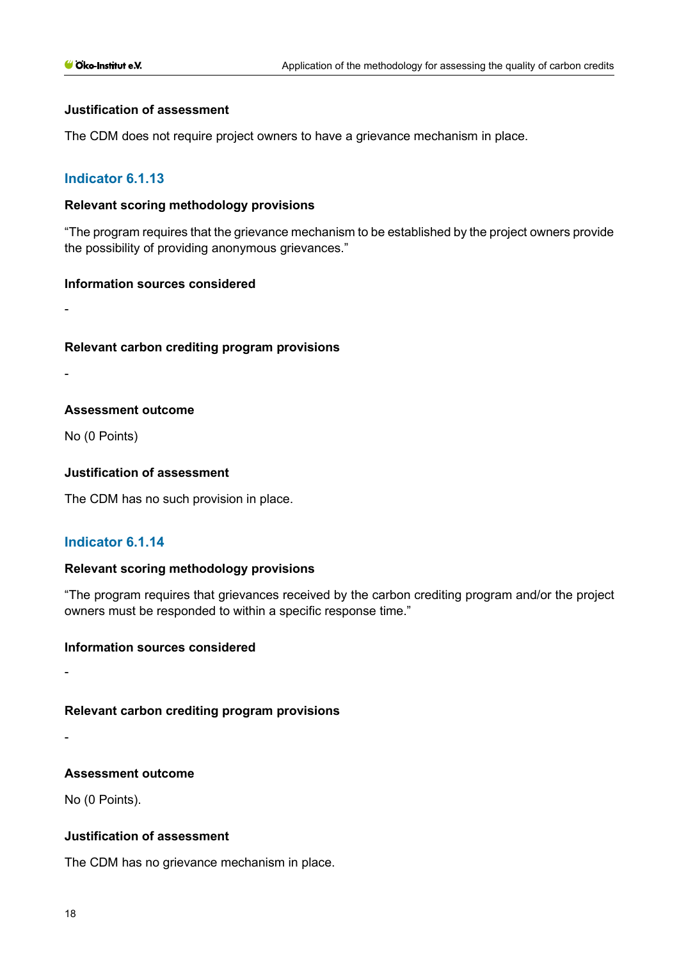#### **Justification of assessment**

The CDM does not require project owners to have a grievance mechanism in place.

#### **Indicator 6.1.13**

#### **Relevant scoring methodology provisions**

"The program requires that the grievance mechanism to be established by the project owners provide the possibility of providing anonymous grievances."

#### **Information sources considered**

**Relevant carbon crediting program provisions**

#### **Assessment outcome**

No (0 Points)

-

-

#### **Justification of assessment**

The CDM has no such provision in place.

#### **Indicator 6.1.14**

#### **Relevant scoring methodology provisions**

"The program requires that grievances received by the carbon crediting program and/or the project owners must be responded to within a specific response time."

#### **Information sources considered**

-

#### **Relevant carbon crediting program provisions**

-

#### **Assessment outcome**

No (0 Points).

#### **Justification of assessment**

The CDM has no grievance mechanism in place.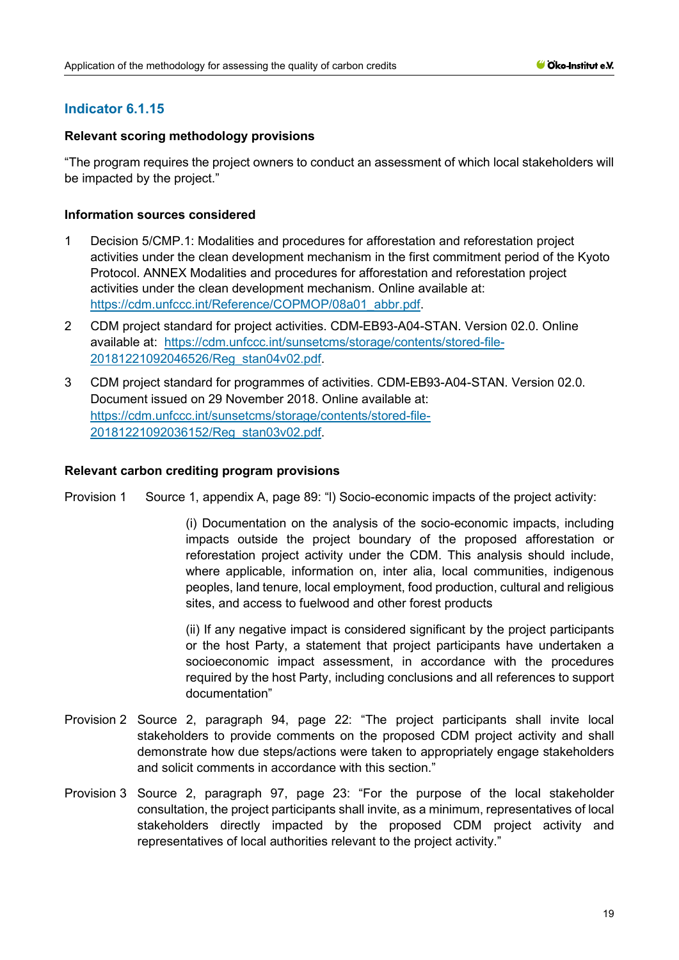# **Indicator 6.1.15**

## **Relevant scoring methodology provisions**

"The program requires the project owners to conduct an assessment of which local stakeholders will be impacted by the project."

## **Information sources considered**

- 1 Decision 5/CMP.1: Modalities and procedures for afforestation and reforestation project activities under the clean development mechanism in the first commitment period of the Kyoto Protocol. ANNEX Modalities and procedures for afforestation and reforestation project activities under the clean development mechanism. Online available at: [https://cdm.unfccc.int/Reference/COPMOP/08a01\\_abbr.pdf.](https://cdm.unfccc.int/Reference/COPMOP/08a01_abbr.pdf)
- 2 CDM project standard for project activities. CDM-EB93-A04-STAN. Version 02.0. Online available at: [https://cdm.unfccc.int/sunsetcms/storage/contents/stored-file-](https://cdm.unfccc.int/sunsetcms/storage/contents/stored-file-20181221092046526/Reg_stan04v02.pdf)[20181221092046526/Reg\\_stan04v02.pdf.](https://cdm.unfccc.int/sunsetcms/storage/contents/stored-file-20181221092046526/Reg_stan04v02.pdf)
- 3 CDM project standard for programmes of activities. CDM-EB93-A04-STAN. Version 02.0. Document issued on 29 November 2018. Online available at: [https://cdm.unfccc.int/sunsetcms/storage/contents/stored-file-](https://cdm.unfccc.int/sunsetcms/storage/contents/stored-file-20181221092036152/Reg_stan03v02.pdf)[20181221092036152/Reg\\_stan03v02.pdf.](https://cdm.unfccc.int/sunsetcms/storage/contents/stored-file-20181221092036152/Reg_stan03v02.pdf)

## **Relevant carbon crediting program provisions**

Provision 1 Source 1, appendix A, page 89: "I) Socio-economic impacts of the project activity:

(i) Documentation on the analysis of the socio-economic impacts, including impacts outside the project boundary of the proposed afforestation or reforestation project activity under the CDM. This analysis should include, where applicable, information on, inter alia, local communities, indigenous peoples, land tenure, local employment, food production, cultural and religious sites, and access to fuelwood and other forest products

(ii) If any negative impact is considered significant by the project participants or the host Party, a statement that project participants have undertaken a socioeconomic impact assessment, in accordance with the procedures required by the host Party, including conclusions and all references to support documentation"

- Provision 2 Source 2, paragraph 94, page 22: "The project participants shall invite local stakeholders to provide comments on the proposed CDM project activity and shall demonstrate how due steps/actions were taken to appropriately engage stakeholders and solicit comments in accordance with this section."
- Provision 3 Source 2, paragraph 97, page 23: "For the purpose of the local stakeholder consultation, the project participants shall invite, as a minimum, representatives of local stakeholders directly impacted by the proposed CDM project activity and representatives of local authorities relevant to the project activity."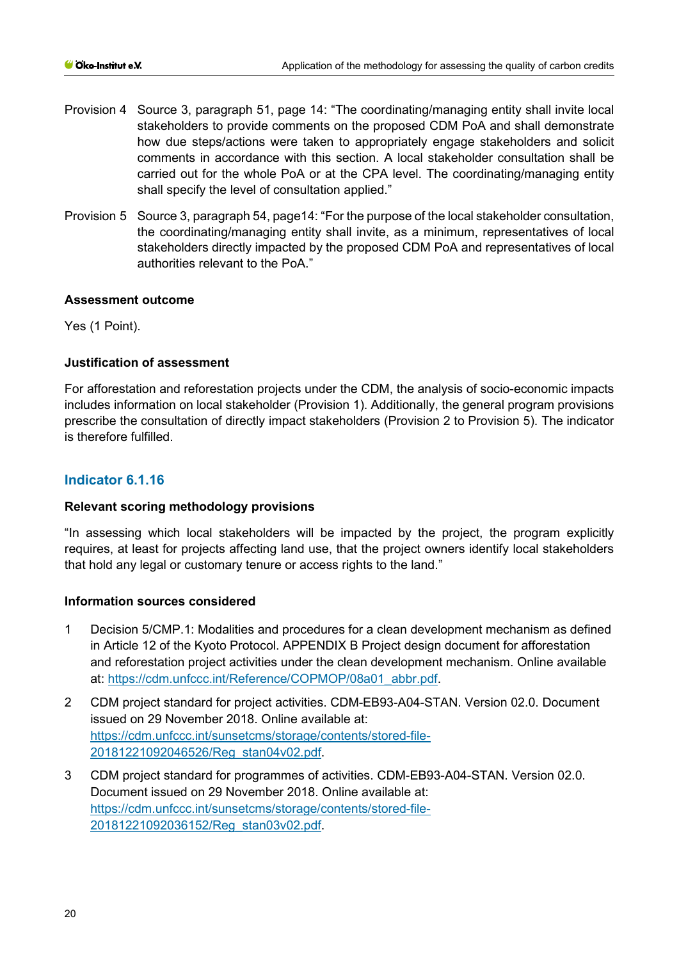- Provision 4 Source 3, paragraph 51, page 14: "The coordinating/managing entity shall invite local stakeholders to provide comments on the proposed CDM PoA and shall demonstrate how due steps/actions were taken to appropriately engage stakeholders and solicit comments in accordance with this section. A local stakeholder consultation shall be carried out for the whole PoA or at the CPA level. The coordinating/managing entity shall specify the level of consultation applied."
- Provision 5 Source 3, paragraph 54, page14: "For the purpose of the local stakeholder consultation, the coordinating/managing entity shall invite, as a minimum, representatives of local stakeholders directly impacted by the proposed CDM PoA and representatives of local authorities relevant to the PoA."

## **Assessment outcome**

Yes (1 Point).

# **Justification of assessment**

For afforestation and reforestation projects under the CDM, the analysis of socio-economic impacts includes information on local stakeholder (Provision 1). Additionally, the general program provisions prescribe the consultation of directly impact stakeholders (Provision 2 to Provision 5). The indicator is therefore fulfilled.

# **Indicator 6.1.16**

## **Relevant scoring methodology provisions**

"In assessing which local stakeholders will be impacted by the project, the program explicitly requires, at least for projects affecting land use, that the project owners identify local stakeholders that hold any legal or customary tenure or access rights to the land."

## **Information sources considered**

- 1 Decision 5/CMP.1: Modalities and procedures for a clean development mechanism as defined in Article 12 of the Kyoto Protocol. APPENDIX B Project design document for afforestation and reforestation project activities under the clean development mechanism. Online available at: [https://cdm.unfccc.int/Reference/COPMOP/08a01\\_abbr.pdf.](https://cdm.unfccc.int/Reference/COPMOP/08a01_abbr.pdf)
- 2 CDM project standard for project activities. CDM-EB93-A04-STAN. Version 02.0. Document issued on 29 November 2018. Online available at: [https://cdm.unfccc.int/sunsetcms/storage/contents/stored-file-](https://cdm.unfccc.int/sunsetcms/storage/contents/stored-file-20181221092046526/Reg_stan04v02.pdf)[20181221092046526/Reg\\_stan04v02.pdf.](https://cdm.unfccc.int/sunsetcms/storage/contents/stored-file-20181221092046526/Reg_stan04v02.pdf)
- 3 CDM project standard for programmes of activities. CDM-EB93-A04-STAN. Version 02.0. Document issued on 29 November 2018. Online available at: [https://cdm.unfccc.int/sunsetcms/storage/contents/stored-file-](https://cdm.unfccc.int/sunsetcms/storage/contents/stored-file-20181221092036152/Reg_stan03v02.pdf)[20181221092036152/Reg\\_stan03v02.pdf.](https://cdm.unfccc.int/sunsetcms/storage/contents/stored-file-20181221092036152/Reg_stan03v02.pdf)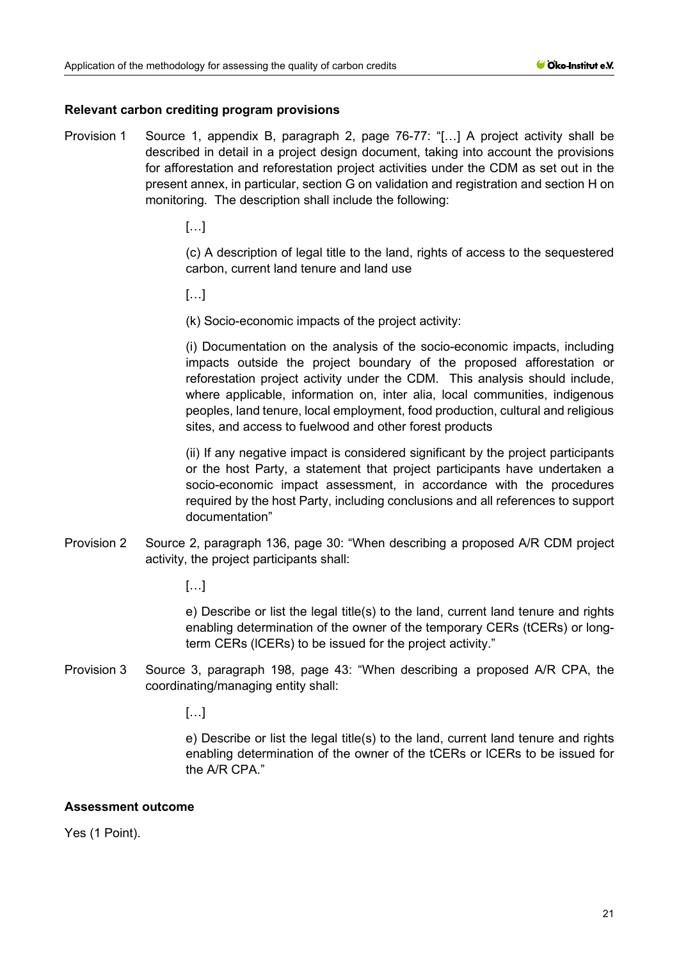#### **Relevant carbon crediting program provisions**

- Provision 1 Source 1, appendix B, paragraph 2, page 76-77: "[…] A project activity shall be described in detail in a project design document, taking into account the provisions for afforestation and reforestation project activities under the CDM as set out in the present annex, in particular, section G on validation and registration and section H on monitoring. The description shall include the following:
	- […]

(c) A description of legal title to the land, rights of access to the sequestered carbon, current land tenure and land use

 $[\ldots]$ 

(k) Socio-economic impacts of the project activity:

(i) Documentation on the analysis of the socio-economic impacts, including impacts outside the project boundary of the proposed afforestation or reforestation project activity under the CDM. This analysis should include, where applicable, information on, inter alia, local communities, indigenous peoples, land tenure, local employment, food production, cultural and religious sites, and access to fuelwood and other forest products

(ii) If any negative impact is considered significant by the project participants or the host Party, a statement that project participants have undertaken a socio-economic impact assessment, in accordance with the procedures required by the host Party, including conclusions and all references to support documentation"

Provision 2 Source 2, paragraph 136, page 30: "When describing a proposed A/R CDM project activity, the project participants shall:

[…]

e) Describe or list the legal title(s) to the land, current land tenure and rights enabling determination of the owner of the temporary CERs (tCERs) or longterm CERs (lCERs) to be issued for the project activity."

Provision 3 Source 3, paragraph 198, page 43: "When describing a proposed A/R CPA, the coordinating/managing entity shall:

[…]

e) Describe or list the legal title(s) to the land, current land tenure and rights enabling determination of the owner of the tCERs or lCERs to be issued for the A/R CPA."

#### **Assessment outcome**

Yes (1 Point).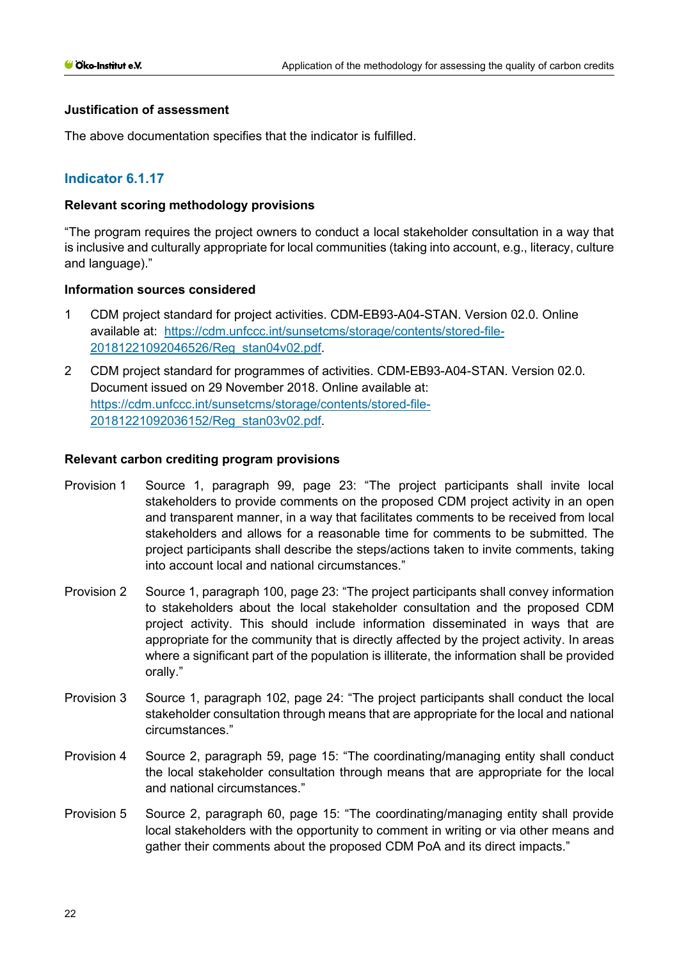#### **Justification of assessment**

The above documentation specifies that the indicator is fulfilled.

# **Indicator 6.1.17**

#### **Relevant scoring methodology provisions**

"The program requires the project owners to conduct a local stakeholder consultation in a way that is inclusive and culturally appropriate for local communities (taking into account, e.g., literacy, culture and language)."

#### **Information sources considered**

- 1 CDM project standard for project activities. CDM-EB93-A04-STAN. Version 02.0. Online available at: [https://cdm.unfccc.int/sunsetcms/storage/contents/stored-file-](https://cdm.unfccc.int/sunsetcms/storage/contents/stored-file-20181221092046526/Reg_stan04v02.pdf)[20181221092046526/Reg\\_stan04v02.pdf.](https://cdm.unfccc.int/sunsetcms/storage/contents/stored-file-20181221092046526/Reg_stan04v02.pdf)
- 2 CDM project standard for programmes of activities. CDM-EB93-A04-STAN. Version 02.0. Document issued on 29 November 2018. Online available at: [https://cdm.unfccc.int/sunsetcms/storage/contents/stored-file-](https://cdm.unfccc.int/sunsetcms/storage/contents/stored-file-20181221092036152/Reg_stan03v02.pdf)[20181221092036152/Reg\\_stan03v02.pdf.](https://cdm.unfccc.int/sunsetcms/storage/contents/stored-file-20181221092036152/Reg_stan03v02.pdf)

- Provision 1 Source 1, paragraph 99, page 23: "The project participants shall invite local stakeholders to provide comments on the proposed CDM project activity in an open and transparent manner, in a way that facilitates comments to be received from local stakeholders and allows for a reasonable time for comments to be submitted. The project participants shall describe the steps/actions taken to invite comments, taking into account local and national circumstances."
- Provision 2 Source 1, paragraph 100, page 23: "The project participants shall convey information to stakeholders about the local stakeholder consultation and the proposed CDM project activity. This should include information disseminated in ways that are appropriate for the community that is directly affected by the project activity. In areas where a significant part of the population is illiterate, the information shall be provided orally."
- Provision 3 Source 1, paragraph 102, page 24: "The project participants shall conduct the local stakeholder consultation through means that are appropriate for the local and national circumstances."
- Provision 4 Source 2, paragraph 59, page 15: "The coordinating/managing entity shall conduct the local stakeholder consultation through means that are appropriate for the local and national circumstances."
- Provision 5 Source 2, paragraph 60, page 15: "The coordinating/managing entity shall provide local stakeholders with the opportunity to comment in writing or via other means and gather their comments about the proposed CDM PoA and its direct impacts."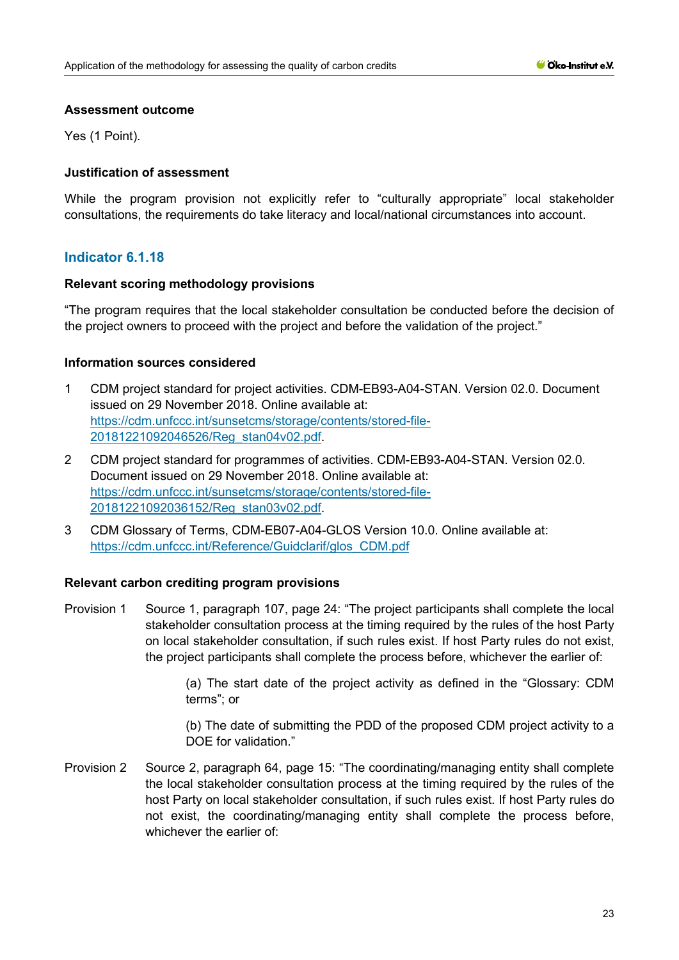#### **Assessment outcome**

Yes (1 Point).

## **Justification of assessment**

While the program provision not explicitly refer to "culturally appropriate" local stakeholder consultations, the requirements do take literacy and local/national circumstances into account.

# **Indicator 6.1.18**

#### **Relevant scoring methodology provisions**

"The program requires that the local stakeholder consultation be conducted before the decision of the project owners to proceed with the project and before the validation of the project."

#### **Information sources considered**

- 1 CDM project standard for project activities. CDM-EB93-A04-STAN. Version 02.0. Document issued on 29 November 2018. Online available at: [https://cdm.unfccc.int/sunsetcms/storage/contents/stored-file-](https://cdm.unfccc.int/sunsetcms/storage/contents/stored-file-20181221092046526/Reg_stan04v02.pdf)[20181221092046526/Reg\\_stan04v02.pdf.](https://cdm.unfccc.int/sunsetcms/storage/contents/stored-file-20181221092046526/Reg_stan04v02.pdf)
- 2 CDM project standard for programmes of activities. CDM-EB93-A04-STAN. Version 02.0. Document issued on 29 November 2018. Online available at: [https://cdm.unfccc.int/sunsetcms/storage/contents/stored-file-](https://cdm.unfccc.int/sunsetcms/storage/contents/stored-file-20181221092036152/Reg_stan03v02.pdf)[20181221092036152/Reg\\_stan03v02.pdf.](https://cdm.unfccc.int/sunsetcms/storage/contents/stored-file-20181221092036152/Reg_stan03v02.pdf)
- 3 CDM Glossary of Terms, CDM-EB07-A04-GLOS Version 10.0. Online available at: [https://cdm.unfccc.int/Reference/Guidclarif/glos\\_CDM.pdf](https://cdm.unfccc.int/Reference/Guidclarif/glos_CDM.pdf)

## **Relevant carbon crediting program provisions**

Provision 1 Source 1, paragraph 107, page 24: "The project participants shall complete the local stakeholder consultation process at the timing required by the rules of the host Party on local stakeholder consultation, if such rules exist. If host Party rules do not exist, the project participants shall complete the process before, whichever the earlier of:

> (a) The start date of the project activity as defined in the "Glossary: CDM terms"; or

> (b) The date of submitting the PDD of the proposed CDM project activity to a DOE for validation."

Provision 2 Source 2, paragraph 64, page 15: "The coordinating/managing entity shall complete the local stakeholder consultation process at the timing required by the rules of the host Party on local stakeholder consultation, if such rules exist. If host Party rules do not exist, the coordinating/managing entity shall complete the process before, whichever the earlier of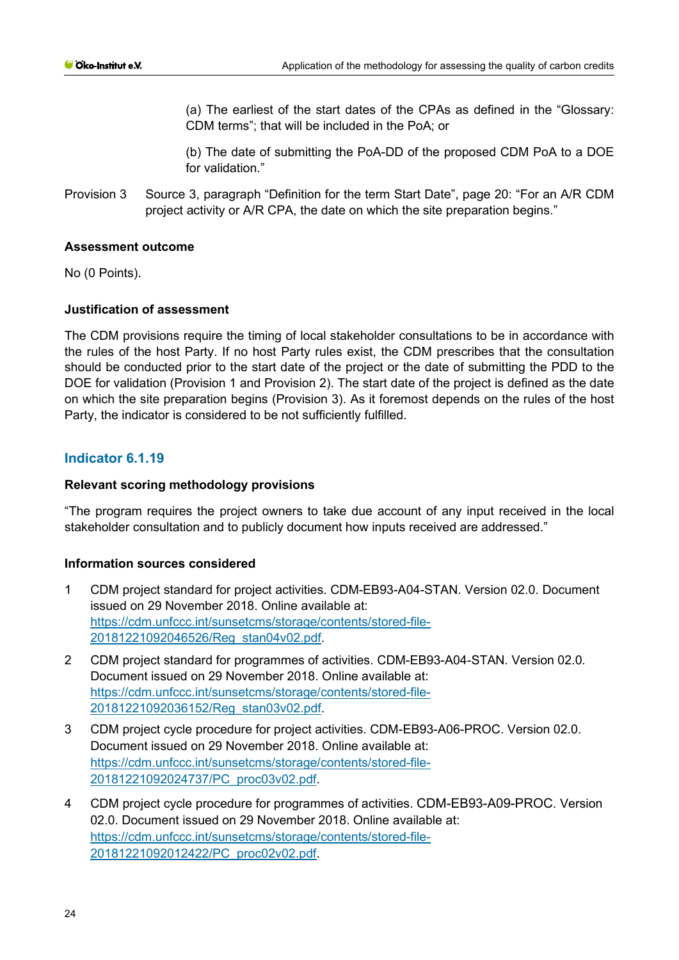(a) The earliest of the start dates of the CPAs as defined in the "Glossary: CDM terms"; that will be included in the PoA; or

(b) The date of submitting the PoA-DD of the proposed CDM PoA to a DOE for validation."

Provision 3 Source 3, paragraph "Definition for the term Start Date", page 20: "For an A/R CDM project activity or A/R CPA, the date on which the site preparation begins."

## **Assessment outcome**

No (0 Points).

## **Justification of assessment**

The CDM provisions require the timing of local stakeholder consultations to be in accordance with the rules of the host Party. If no host Party rules exist, the CDM prescribes that the consultation should be conducted prior to the start date of the project or the date of submitting the PDD to the DOE for validation (Provision 1 and Provision 2). The start date of the project is defined as the date on which the site preparation begins (Provision 3). As it foremost depends on the rules of the host Party, the indicator is considered to be not sufficiently fulfilled.

# **Indicator 6.1.19**

#### **Relevant scoring methodology provisions**

"The program requires the project owners to take due account of any input received in the local stakeholder consultation and to publicly document how inputs received are addressed."

#### **Information sources considered**

- 1 CDM project standard for project activities. CDM-EB93-A04-STAN. Version 02.0. Document issued on 29 November 2018. Online available at: [https://cdm.unfccc.int/sunsetcms/storage/contents/stored-file-](https://cdm.unfccc.int/sunsetcms/storage/contents/stored-file-20181221092046526/Reg_stan04v02.pdf)[20181221092046526/Reg\\_stan04v02.pdf.](https://cdm.unfccc.int/sunsetcms/storage/contents/stored-file-20181221092046526/Reg_stan04v02.pdf)
- 2 CDM project standard for programmes of activities. CDM-EB93-A04-STAN. Version 02.0. Document issued on 29 November 2018. Online available at: [https://cdm.unfccc.int/sunsetcms/storage/contents/stored-file-](https://cdm.unfccc.int/sunsetcms/storage/contents/stored-file-20181221092036152/Reg_stan03v02.pdf)[20181221092036152/Reg\\_stan03v02.pdf.](https://cdm.unfccc.int/sunsetcms/storage/contents/stored-file-20181221092036152/Reg_stan03v02.pdf)
- 3 CDM project cycle procedure for project activities. CDM-EB93-A06-PROC. Version 02.0. Document issued on 29 November 2018. Online available at: [https://cdm.unfccc.int/sunsetcms/storage/contents/stored-file-](https://cdm.unfccc.int/sunsetcms/storage/contents/stored-file-20181221092024737/PC_proc03v02.pdf)[20181221092024737/PC\\_proc03v02.pdf.](https://cdm.unfccc.int/sunsetcms/storage/contents/stored-file-20181221092024737/PC_proc03v02.pdf)
- 4 CDM project cycle procedure for programmes of activities. CDM-EB93-A09-PROC. Version 02.0. Document issued on 29 November 2018. Online available at: [https://cdm.unfccc.int/sunsetcms/storage/contents/stored-file-](https://cdm.unfccc.int/sunsetcms/storage/contents/stored-file-20181221092012422/PC_proc02v02.pdf)[20181221092012422/PC\\_proc02v02.pdf.](https://cdm.unfccc.int/sunsetcms/storage/contents/stored-file-20181221092012422/PC_proc02v02.pdf)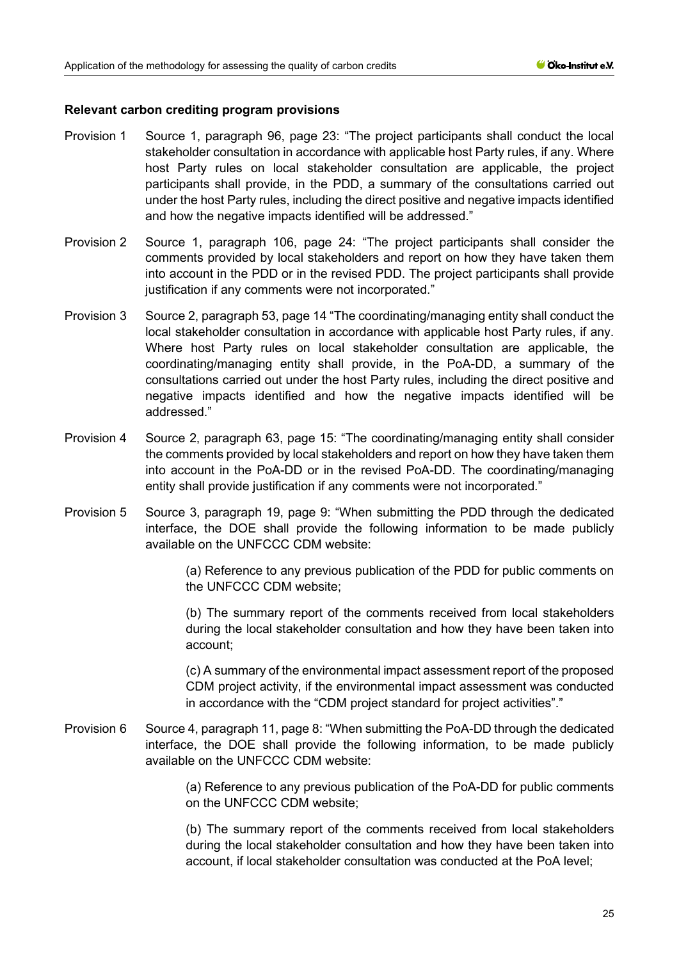#### **Relevant carbon crediting program provisions**

- Provision 1 Source 1, paragraph 96, page 23: "The project participants shall conduct the local stakeholder consultation in accordance with applicable host Party rules, if any. Where host Party rules on local stakeholder consultation are applicable, the project participants shall provide, in the PDD, a summary of the consultations carried out under the host Party rules, including the direct positive and negative impacts identified and how the negative impacts identified will be addressed."
- Provision 2 Source 1, paragraph 106, page 24: "The project participants shall consider the comments provided by local stakeholders and report on how they have taken them into account in the PDD or in the revised PDD. The project participants shall provide justification if any comments were not incorporated."
- Provision 3 Source 2, paragraph 53, page 14 "The coordinating/managing entity shall conduct the local stakeholder consultation in accordance with applicable host Party rules, if any. Where host Party rules on local stakeholder consultation are applicable, the coordinating/managing entity shall provide, in the PoA-DD, a summary of the consultations carried out under the host Party rules, including the direct positive and negative impacts identified and how the negative impacts identified will be addressed."
- Provision 4 Source 2, paragraph 63, page 15: "The coordinating/managing entity shall consider the comments provided by local stakeholders and report on how they have taken them into account in the PoA-DD or in the revised PoA-DD. The coordinating/managing entity shall provide justification if any comments were not incorporated."
- Provision 5 Source 3, paragraph 19, page 9: "When submitting the PDD through the dedicated interface, the DOE shall provide the following information to be made publicly available on the UNFCCC CDM website:

(a) Reference to any previous publication of the PDD for public comments on the UNFCCC CDM website;

(b) The summary report of the comments received from local stakeholders during the local stakeholder consultation and how they have been taken into account;

(c) A summary of the environmental impact assessment report of the proposed CDM project activity, if the environmental impact assessment was conducted in accordance with the "CDM project standard for project activities"."

Provision 6 Source 4, paragraph 11, page 8: "When submitting the PoA-DD through the dedicated interface, the DOE shall provide the following information, to be made publicly available on the UNFCCC CDM website:

> (a) Reference to any previous publication of the PoA-DD for public comments on the UNFCCC CDM website;

> (b) The summary report of the comments received from local stakeholders during the local stakeholder consultation and how they have been taken into account, if local stakeholder consultation was conducted at the PoA level;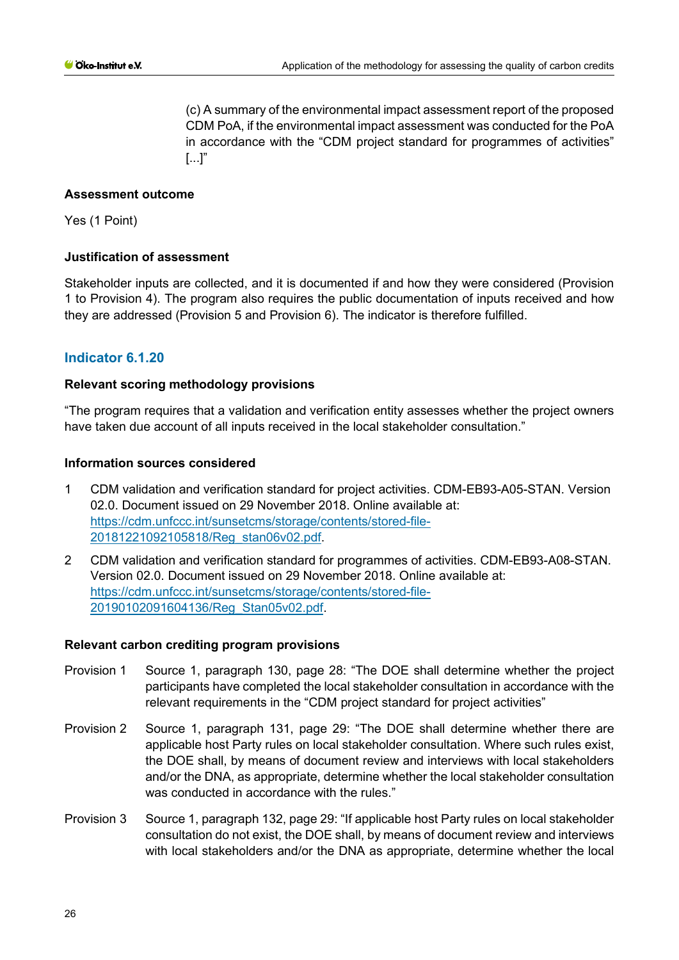(c) A summary of the environmental impact assessment report of the proposed CDM PoA, if the environmental impact assessment was conducted for the PoA in accordance with the "CDM project standard for programmes of activities"  $\left[ \ldots \right]$ "

## **Assessment outcome**

Yes (1 Point)

#### **Justification of assessment**

Stakeholder inputs are collected, and it is documented if and how they were considered (Provision 1 to Provision 4). The program also requires the public documentation of inputs received and how they are addressed (Provision 5 and Provision 6). The indicator is therefore fulfilled.

# **Indicator 6.1.20**

#### **Relevant scoring methodology provisions**

"The program requires that a validation and verification entity assesses whether the project owners have taken due account of all inputs received in the local stakeholder consultation."

#### **Information sources considered**

- 1 CDM validation and verification standard for project activities. CDM-EB93-A05-STAN. Version 02.0. Document issued on 29 November 2018. Online available at: [https://cdm.unfccc.int/sunsetcms/storage/contents/stored-file-](https://cdm.unfccc.int/sunsetcms/storage/contents/stored-file-20181221092105818/Reg_stan06v02.pdf)[20181221092105818/Reg\\_stan06v02.pdf.](https://cdm.unfccc.int/sunsetcms/storage/contents/stored-file-20181221092105818/Reg_stan06v02.pdf)
- 2 CDM validation and verification standard for programmes of activities. CDM-EB93-A08-STAN. Version 02.0. Document issued on 29 November 2018. Online available at: [https://cdm.unfccc.int/sunsetcms/storage/contents/stored-file-](https://cdm.unfccc.int/sunsetcms/storage/contents/stored-file-20190102091604136/Reg_Stan05v02.pdf)[20190102091604136/Reg\\_Stan05v02.pdf.](https://cdm.unfccc.int/sunsetcms/storage/contents/stored-file-20190102091604136/Reg_Stan05v02.pdf)

- Provision 1 Source 1, paragraph 130, page 28: "The DOE shall determine whether the project participants have completed the local stakeholder consultation in accordance with the relevant requirements in the "CDM project standard for project activities"
- Provision 2 Source 1, paragraph 131, page 29: "The DOE shall determine whether there are applicable host Party rules on local stakeholder consultation. Where such rules exist, the DOE shall, by means of document review and interviews with local stakeholders and/or the DNA, as appropriate, determine whether the local stakeholder consultation was conducted in accordance with the rules."
- Provision 3 Source 1, paragraph 132, page 29: "If applicable host Party rules on local stakeholder consultation do not exist, the DOE shall, by means of document review and interviews with local stakeholders and/or the DNA as appropriate, determine whether the local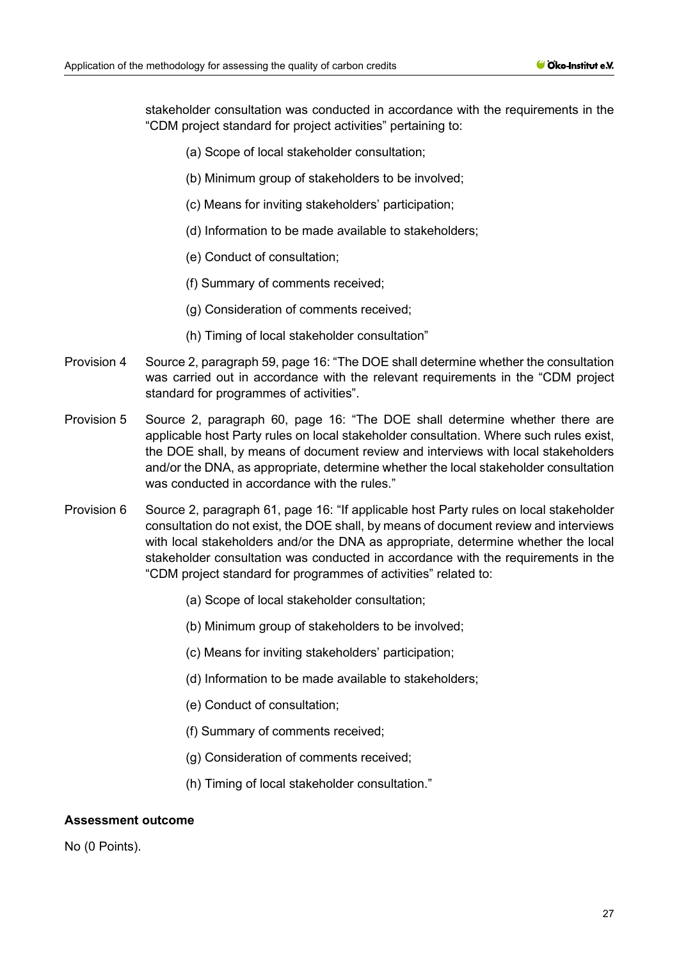stakeholder consultation was conducted in accordance with the requirements in the "CDM project standard for project activities" pertaining to:

- (a) Scope of local stakeholder consultation;
- (b) Minimum group of stakeholders to be involved;
- (c) Means for inviting stakeholders' participation;
- (d) Information to be made available to stakeholders;
- (e) Conduct of consultation;
- (f) Summary of comments received;
- (g) Consideration of comments received;
- (h) Timing of local stakeholder consultation"
- Provision 4 Source 2, paragraph 59, page 16: "The DOE shall determine whether the consultation was carried out in accordance with the relevant requirements in the "CDM project standard for programmes of activities".
- Provision 5 Source 2, paragraph 60, page 16: "The DOE shall determine whether there are applicable host Party rules on local stakeholder consultation. Where such rules exist, the DOE shall, by means of document review and interviews with local stakeholders and/or the DNA, as appropriate, determine whether the local stakeholder consultation was conducted in accordance with the rules."
- Provision 6 Source 2, paragraph 61, page 16: "If applicable host Party rules on local stakeholder consultation do not exist, the DOE shall, by means of document review and interviews with local stakeholders and/or the DNA as appropriate, determine whether the local stakeholder consultation was conducted in accordance with the requirements in the "CDM project standard for programmes of activities" related to:
	- (a) Scope of local stakeholder consultation;
	- (b) Minimum group of stakeholders to be involved;
	- (c) Means for inviting stakeholders' participation;
	- (d) Information to be made available to stakeholders;
	- (e) Conduct of consultation;
	- (f) Summary of comments received;
	- (g) Consideration of comments received;
	- (h) Timing of local stakeholder consultation."

#### **Assessment outcome**

No (0 Points).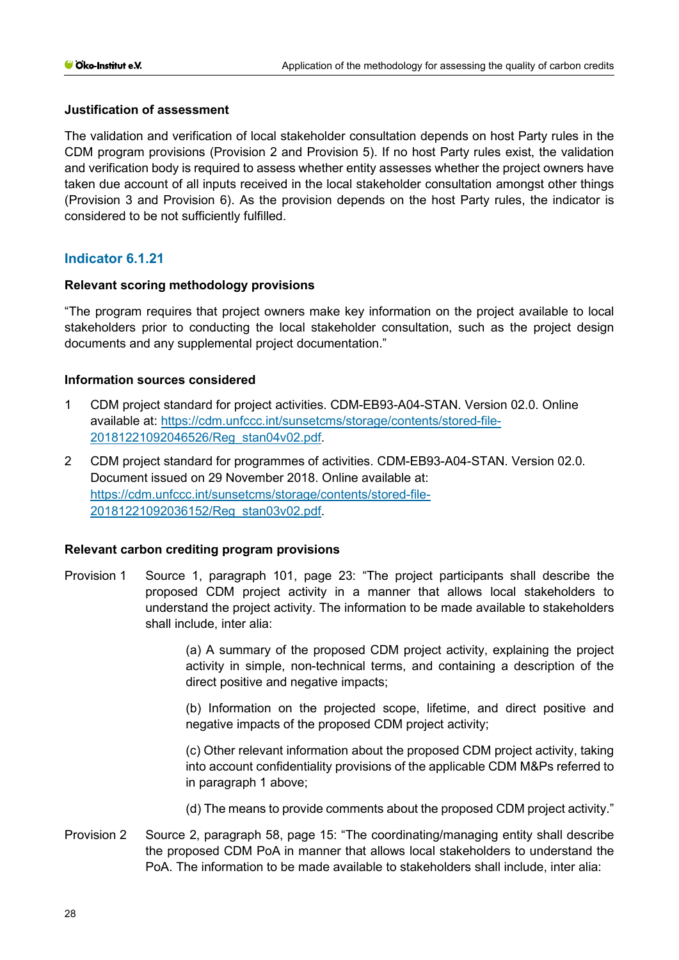## **Justification of assessment**

The validation and verification of local stakeholder consultation depends on host Party rules in the CDM program provisions (Provision 2 and Provision 5). If no host Party rules exist, the validation and verification body is required to assess whether entity assesses whether the project owners have taken due account of all inputs received in the local stakeholder consultation amongst other things (Provision 3 and Provision 6). As the provision depends on the host Party rules, the indicator is considered to be not sufficiently fulfilled.

# **Indicator 6.1.21**

## **Relevant scoring methodology provisions**

"The program requires that project owners make key information on the project available to local stakeholders prior to conducting the local stakeholder consultation, such as the project design documents and any supplemental project documentation."

## **Information sources considered**

- 1 CDM project standard for project activities. CDM-EB93-A04-STAN. Version 02.0. Online available at: [https://cdm.unfccc.int/sunsetcms/storage/contents/stored-file-](https://cdm.unfccc.int/sunsetcms/storage/contents/stored-file-20181221092046526/Reg_stan04v02.pdf)[20181221092046526/Reg\\_stan04v02.pdf.](https://cdm.unfccc.int/sunsetcms/storage/contents/stored-file-20181221092046526/Reg_stan04v02.pdf)
- 2 CDM project standard for programmes of activities. CDM-EB93-A04-STAN. Version 02.0. Document issued on 29 November 2018. Online available at: [https://cdm.unfccc.int/sunsetcms/storage/contents/stored-file-](https://cdm.unfccc.int/sunsetcms/storage/contents/stored-file-20181221092036152/Reg_stan03v02.pdf)[20181221092036152/Reg\\_stan03v02.pdf.](https://cdm.unfccc.int/sunsetcms/storage/contents/stored-file-20181221092036152/Reg_stan03v02.pdf)

## **Relevant carbon crediting program provisions**

Provision 1 Source 1, paragraph 101, page 23: "The project participants shall describe the proposed CDM project activity in a manner that allows local stakeholders to understand the project activity. The information to be made available to stakeholders shall include, inter alia:

> (a) A summary of the proposed CDM project activity, explaining the project activity in simple, non-technical terms, and containing a description of the direct positive and negative impacts;

> (b) Information on the projected scope, lifetime, and direct positive and negative impacts of the proposed CDM project activity;

> (c) Other relevant information about the proposed CDM project activity, taking into account confidentiality provisions of the applicable CDM M&Ps referred to in paragraph 1 above;

- (d) The means to provide comments about the proposed CDM project activity."
- Provision 2 Source 2, paragraph 58, page 15: "The coordinating/managing entity shall describe the proposed CDM PoA in manner that allows local stakeholders to understand the PoA. The information to be made available to stakeholders shall include, inter alia: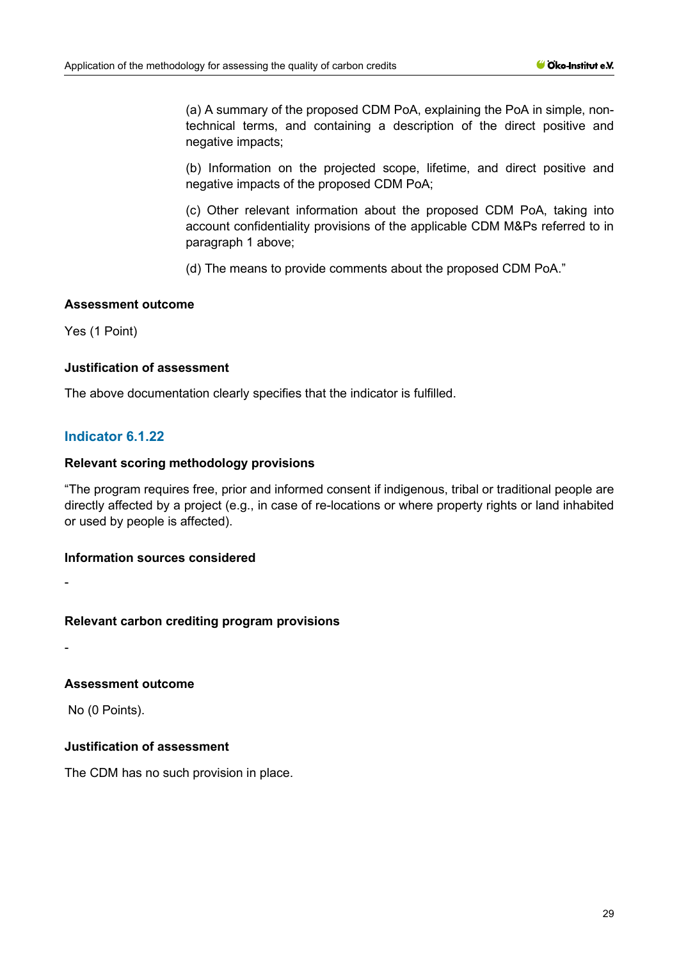(a) A summary of the proposed CDM PoA, explaining the PoA in simple, nontechnical terms, and containing a description of the direct positive and negative impacts;

(b) Information on the projected scope, lifetime, and direct positive and negative impacts of the proposed CDM PoA;

(c) Other relevant information about the proposed CDM PoA, taking into account confidentiality provisions of the applicable CDM M&Ps referred to in paragraph 1 above;

(d) The means to provide comments about the proposed CDM PoA."

#### **Assessment outcome**

Yes (1 Point)

#### **Justification of assessment**

The above documentation clearly specifies that the indicator is fulfilled.

# **Indicator 6.1.22**

#### **Relevant scoring methodology provisions**

"The program requires free, prior and informed consent if indigenous, tribal or traditional people are directly affected by a project (e.g., in case of re-locations or where property rights or land inhabited or used by people is affected).

#### **Information sources considered**

-

-

## **Relevant carbon crediting program provisions**

**Assessment outcome**

No (0 Points).

# **Justification of assessment**

The CDM has no such provision in place.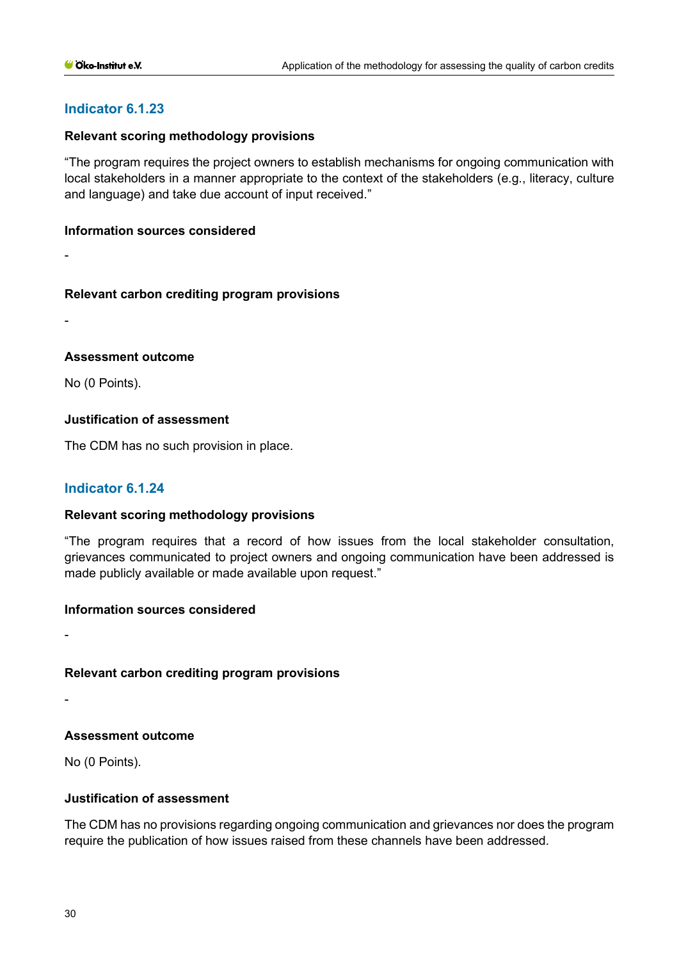# **Indicator 6.1.23**

## **Relevant scoring methodology provisions**

"The program requires the project owners to establish mechanisms for ongoing communication with local stakeholders in a manner appropriate to the context of the stakeholders (e.g., literacy, culture and language) and take due account of input received."

#### **Information sources considered**

-

# **Relevant carbon crediting program provisions**

-

# **Assessment outcome**

No (0 Points).

# **Justification of assessment**

The CDM has no such provision in place.

# **Indicator 6.1.24**

## **Relevant scoring methodology provisions**

"The program requires that a record of how issues from the local stakeholder consultation, grievances communicated to project owners and ongoing communication have been addressed is made publicly available or made available upon request."

## **Information sources considered**

-

-

## **Relevant carbon crediting program provisions**

**Assessment outcome**

No (0 Points).

## **Justification of assessment**

The CDM has no provisions regarding ongoing communication and grievances nor does the program require the publication of how issues raised from these channels have been addressed.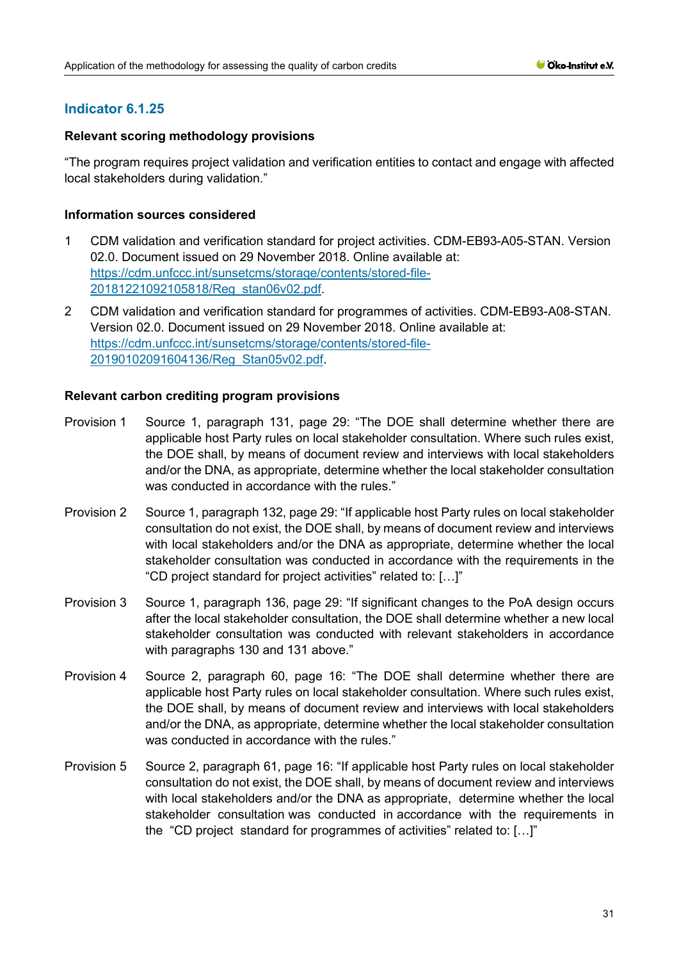# **Indicator 6.1.25**

## **Relevant scoring methodology provisions**

"The program requires project validation and verification entities to contact and engage with affected local stakeholders during validation."

## **Information sources considered**

- 1 CDM validation and verification standard for project activities. CDM-EB93-A05-STAN. Version 02.0. Document issued on 29 November 2018. Online available at: [https://cdm.unfccc.int/sunsetcms/storage/contents/stored-file-](https://cdm.unfccc.int/sunsetcms/storage/contents/stored-file-20181221092105818/Reg_stan06v02.pdf)[20181221092105818/Reg\\_stan06v02.pdf.](https://cdm.unfccc.int/sunsetcms/storage/contents/stored-file-20181221092105818/Reg_stan06v02.pdf)
- 2 CDM validation and verification standard for programmes of activities. CDM-EB93-A08-STAN. Version 02.0. Document issued on 29 November 2018. Online available at: [https://cdm.unfccc.int/sunsetcms/storage/contents/stored-file-](https://cdm.unfccc.int/sunsetcms/storage/contents/stored-file-20190102091604136/Reg_Stan05v02.pdf)[20190102091604136/Reg\\_Stan05v02.pdf.](https://cdm.unfccc.int/sunsetcms/storage/contents/stored-file-20190102091604136/Reg_Stan05v02.pdf)

- Provision 1 Source 1, paragraph 131, page 29: "The DOE shall determine whether there are applicable host Party rules on local stakeholder consultation. Where such rules exist, the DOE shall, by means of document review and interviews with local stakeholders and/or the DNA, as appropriate, determine whether the local stakeholder consultation was conducted in accordance with the rules."
- Provision 2 Source 1, paragraph 132, page 29: "If applicable host Party rules on local stakeholder consultation do not exist, the DOE shall, by means of document review and interviews with local stakeholders and/or the DNA as appropriate, determine whether the local stakeholder consultation was conducted in accordance with the requirements in the "CD project standard for project activities" related to: […]"
- Provision 3 Source 1, paragraph 136, page 29: "If significant changes to the PoA design occurs after the local stakeholder consultation, the DOE shall determine whether a new local stakeholder consultation was conducted with relevant stakeholders in accordance with paragraphs 130 and 131 above."
- Provision 4 Source 2, paragraph 60, page 16: "The DOE shall determine whether there are applicable host Party rules on local stakeholder consultation. Where such rules exist, the DOE shall, by means of document review and interviews with local stakeholders and/or the DNA, as appropriate, determine whether the local stakeholder consultation was conducted in accordance with the rules."
- Provision 5 Source 2, paragraph 61, page 16: "If applicable host Party rules on local stakeholder consultation do not exist, the DOE shall, by means of document review and interviews with local stakeholders and/or the DNA as appropriate, determine whether the local stakeholder consultation was conducted in accordance with the requirements in the "CD project standard for programmes of activities" related to: […]"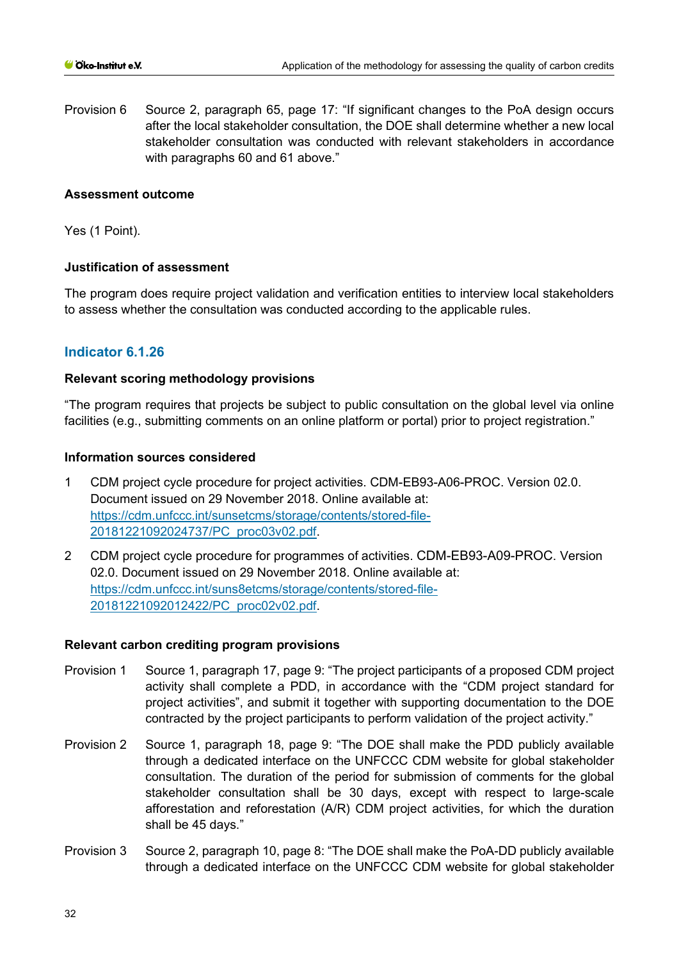Provision 6 Source 2, paragraph 65, page 17: "If significant changes to the PoA design occurs after the local stakeholder consultation, the DOE shall determine whether a new local stakeholder consultation was conducted with relevant stakeholders in accordance with paragraphs 60 and 61 above."

#### **Assessment outcome**

Yes (1 Point).

## **Justification of assessment**

The program does require project validation and verification entities to interview local stakeholders to assess whether the consultation was conducted according to the applicable rules.

## **Indicator 6.1.26**

#### **Relevant scoring methodology provisions**

"The program requires that projects be subject to public consultation on the global level via online facilities (e.g., submitting comments on an online platform or portal) prior to project registration."

#### **Information sources considered**

- 1 CDM project cycle procedure for project activities. CDM-EB93-A06-PROC. Version 02.0. Document issued on 29 November 2018. Online available at: [https://cdm.unfccc.int/sunsetcms/storage/contents/stored-file-](https://cdm.unfccc.int/sunsetcms/storage/contents/stored-file-20181221092024737/PC_proc03v02.pdf)[20181221092024737/PC\\_proc03v02.pdf.](https://cdm.unfccc.int/sunsetcms/storage/contents/stored-file-20181221092024737/PC_proc03v02.pdf)
- 2 CDM project cycle procedure for programmes of activities. CDM-EB93-A09-PROC. Version 02.0. Document issued on 29 November 2018. Online available at: [https://cdm.unfccc.int/suns8etcms/storage/contents/stored-file-](https://cdm.unfccc.int/suns8etcms/storage/contents/stored-file-20181221092012422/PC_proc02v02.pdf)[20181221092012422/PC\\_proc02v02.pdf.](https://cdm.unfccc.int/suns8etcms/storage/contents/stored-file-20181221092012422/PC_proc02v02.pdf)

- Provision 1 Source 1, paragraph 17, page 9: "The project participants of a proposed CDM project activity shall complete a PDD, in accordance with the "CDM project standard for project activities", and submit it together with supporting documentation to the DOE contracted by the project participants to perform validation of the project activity."
- Provision 2 Source 1, paragraph 18, page 9: "The DOE shall make the PDD publicly available through a dedicated interface on the UNFCCC CDM website for global stakeholder consultation. The duration of the period for submission of comments for the global stakeholder consultation shall be 30 days, except with respect to large-scale afforestation and reforestation (A/R) CDM project activities, for which the duration shall be 45 days."
- Provision 3 Source 2, paragraph 10, page 8: "The DOE shall make the PoA-DD publicly available through a dedicated interface on the UNFCCC CDM website for global stakeholder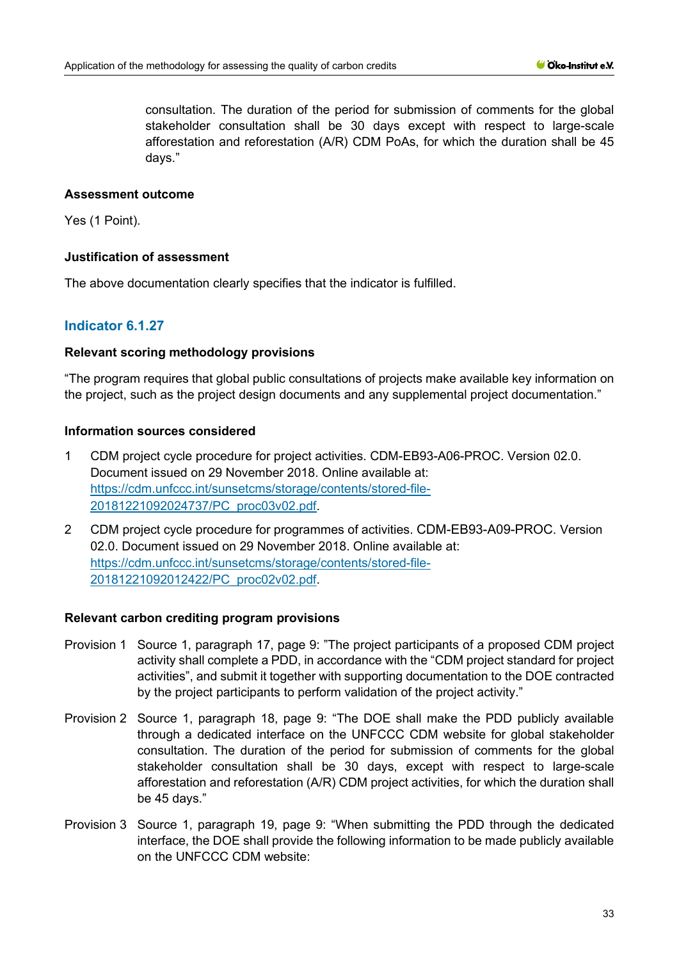consultation. The duration of the period for submission of comments for the global stakeholder consultation shall be 30 days except with respect to large-scale afforestation and reforestation (A/R) CDM PoAs, for which the duration shall be 45 days."

# **Assessment outcome**

Yes (1 Point).

# **Justification of assessment**

The above documentation clearly specifies that the indicator is fulfilled.

# **Indicator 6.1.27**

# **Relevant scoring methodology provisions**

"The program requires that global public consultations of projects make available key information on the project, such as the project design documents and any supplemental project documentation."

# **Information sources considered**

- 1 CDM project cycle procedure for project activities. CDM-EB93-A06-PROC. Version 02.0. Document issued on 29 November 2018. Online available at: [https://cdm.unfccc.int/sunsetcms/storage/contents/stored-file-](https://cdm.unfccc.int/sunsetcms/storage/contents/stored-file-20181221092024737/PC_proc03v02.pdf)[20181221092024737/PC\\_proc03v02.pdf.](https://cdm.unfccc.int/sunsetcms/storage/contents/stored-file-20181221092024737/PC_proc03v02.pdf)
- 2 CDM project cycle procedure for programmes of activities. CDM-EB93-A09-PROC. Version 02.0. Document issued on 29 November 2018. Online available at: [https://cdm.unfccc.int/sunsetcms/storage/contents/stored-file-](https://cdm.unfccc.int/sunsetcms/storage/contents/stored-file-20181221092012422/PC_proc02v02.pdf)[20181221092012422/PC\\_proc02v02.pdf.](https://cdm.unfccc.int/sunsetcms/storage/contents/stored-file-20181221092012422/PC_proc02v02.pdf)

- Provision 1 Source 1, paragraph 17, page 9: "The project participants of a proposed CDM project activity shall complete a PDD, in accordance with the "CDM project standard for project activities", and submit it together with supporting documentation to the DOE contracted by the project participants to perform validation of the project activity."
- Provision 2 Source 1, paragraph 18, page 9: "The DOE shall make the PDD publicly available through a dedicated interface on the UNFCCC CDM website for global stakeholder consultation. The duration of the period for submission of comments for the global stakeholder consultation shall be 30 days, except with respect to large-scale afforestation and reforestation (A/R) CDM project activities, for which the duration shall be 45 days."
- Provision 3 Source 1, paragraph 19, page 9: "When submitting the PDD through the dedicated interface, the DOE shall provide the following information to be made publicly available on the UNFCCC CDM website: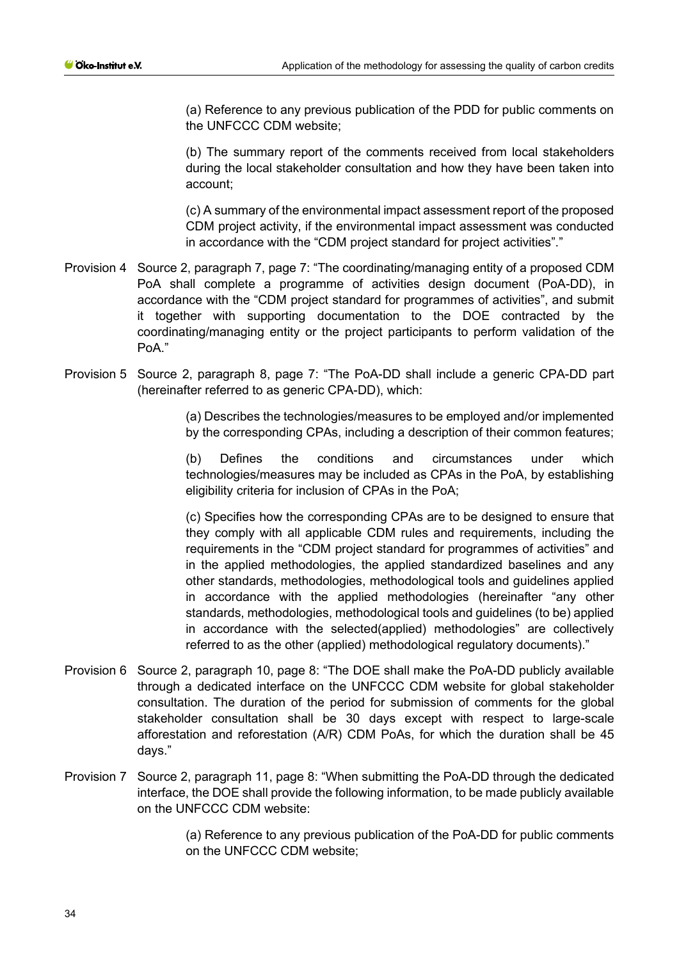(a) Reference to any previous publication of the PDD for public comments on the UNFCCC CDM website;

(b) The summary report of the comments received from local stakeholders during the local stakeholder consultation and how they have been taken into account;

(c) A summary of the environmental impact assessment report of the proposed CDM project activity, if the environmental impact assessment was conducted in accordance with the "CDM project standard for project activities"."

- Provision 4 Source 2, paragraph 7, page 7: "The coordinating/managing entity of a proposed CDM PoA shall complete a programme of activities design document (PoA-DD), in accordance with the "CDM project standard for programmes of activities", and submit it together with supporting documentation to the DOE contracted by the coordinating/managing entity or the project participants to perform validation of the Po<sub>A</sub>"
- Provision 5 Source 2, paragraph 8, page 7: "The PoA-DD shall include a generic CPA-DD part (hereinafter referred to as generic CPA-DD), which:

(a) Describes the technologies/measures to be employed and/or implemented by the corresponding CPAs, including a description of their common features;

(b) Defines the conditions and circumstances under which technologies/measures may be included as CPAs in the PoA, by establishing eligibility criteria for inclusion of CPAs in the PoA;

(c) Specifies how the corresponding CPAs are to be designed to ensure that they comply with all applicable CDM rules and requirements, including the requirements in the "CDM project standard for programmes of activities" and in the applied methodologies, the applied standardized baselines and any other standards, methodologies, methodological tools and guidelines applied in accordance with the applied methodologies (hereinafter "any other standards, methodologies, methodological tools and guidelines (to be) applied in accordance with the selected(applied) methodologies" are collectively referred to as the other (applied) methodological regulatory documents)."

- Provision 6 Source 2, paragraph 10, page 8: "The DOE shall make the PoA-DD publicly available through a dedicated interface on the UNFCCC CDM website for global stakeholder consultation. The duration of the period for submission of comments for the global stakeholder consultation shall be 30 days except with respect to large-scale afforestation and reforestation (A/R) CDM PoAs, for which the duration shall be 45 days."
- Provision 7 Source 2, paragraph 11, page 8: "When submitting the PoA-DD through the dedicated interface, the DOE shall provide the following information, to be made publicly available on the UNFCCC CDM website:

(a) Reference to any previous publication of the PoA-DD for public comments on the UNFCCC CDM website;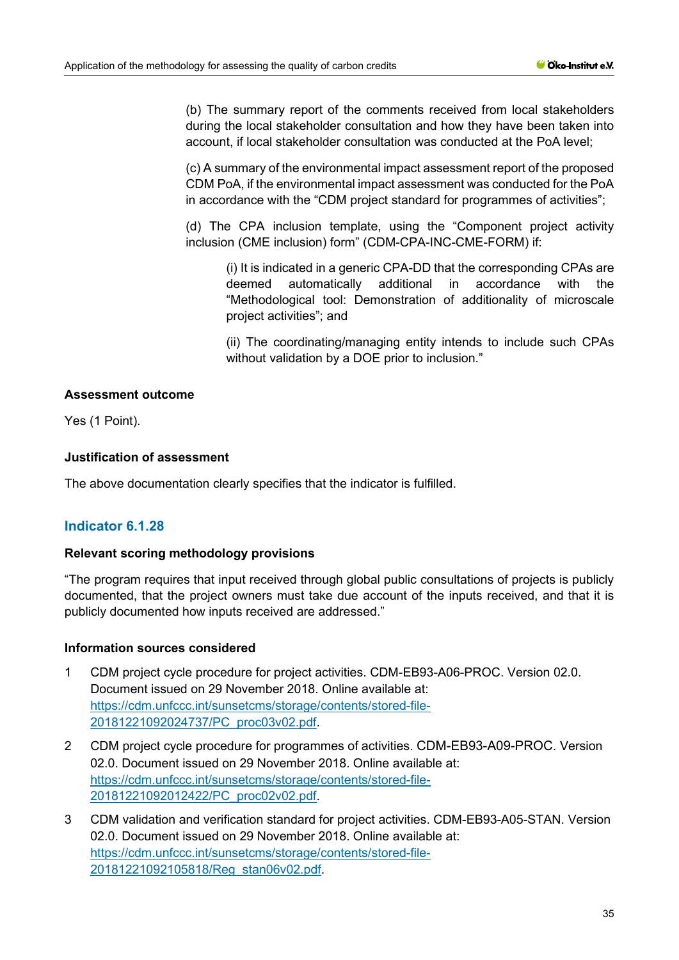(b) The summary report of the comments received from local stakeholders during the local stakeholder consultation and how they have been taken into account, if local stakeholder consultation was conducted at the PoA level;

(c) A summary of the environmental impact assessment report of the proposed CDM PoA, if the environmental impact assessment was conducted for the PoA in accordance with the "CDM project standard for programmes of activities";

(d) The CPA inclusion template, using the "Component project activity inclusion (CME inclusion) form" (CDM-CPA-INC-CME-FORM) if:

(i) It is indicated in a generic CPA-DD that the corresponding CPAs are deemed automatically additional in accordance with the "Methodological tool: Demonstration of additionality of microscale project activities"; and

(ii) The coordinating/managing entity intends to include such CPAs without validation by a DOE prior to inclusion."

# **Assessment outcome**

Yes (1 Point).

# **Justification of assessment**

The above documentation clearly specifies that the indicator is fulfilled.

# **Indicator 6.1.28**

## **Relevant scoring methodology provisions**

"The program requires that input received through global public consultations of projects is publicly documented, that the project owners must take due account of the inputs received, and that it is publicly documented how inputs received are addressed."

## **Information sources considered**

- 1 CDM project cycle procedure for project activities. CDM-EB93-A06-PROC. Version 02.0. Document issued on 29 November 2018. Online available at: [https://cdm.unfccc.int/sunsetcms/storage/contents/stored-file-](https://cdm.unfccc.int/sunsetcms/storage/contents/stored-file-20181221092024737/PC_proc03v02.pdf)[20181221092024737/PC\\_proc03v02.pdf.](https://cdm.unfccc.int/sunsetcms/storage/contents/stored-file-20181221092024737/PC_proc03v02.pdf)
- 2 CDM project cycle procedure for programmes of activities. CDM-EB93-A09-PROC. Version 02.0. Document issued on 29 November 2018. Online available at: [https://cdm.unfccc.int/sunsetcms/storage/contents/stored-file-](https://cdm.unfccc.int/sunsetcms/storage/contents/stored-file-20181221092012422/PC_proc02v02.pdf)[20181221092012422/PC\\_proc02v02.pdf.](https://cdm.unfccc.int/sunsetcms/storage/contents/stored-file-20181221092012422/PC_proc02v02.pdf)
- 3 CDM validation and verification standard for project activities. CDM-EB93-A05-STAN. Version 02.0. Document issued on 29 November 2018. Online available at: [https://cdm.unfccc.int/sunsetcms/storage/contents/stored-file-](https://cdm.unfccc.int/sunsetcms/storage/contents/stored-file-20181221092105818/Reg_stan06v02.pdf)[20181221092105818/Reg\\_stan06v02.pdf.](https://cdm.unfccc.int/sunsetcms/storage/contents/stored-file-20181221092105818/Reg_stan06v02.pdf)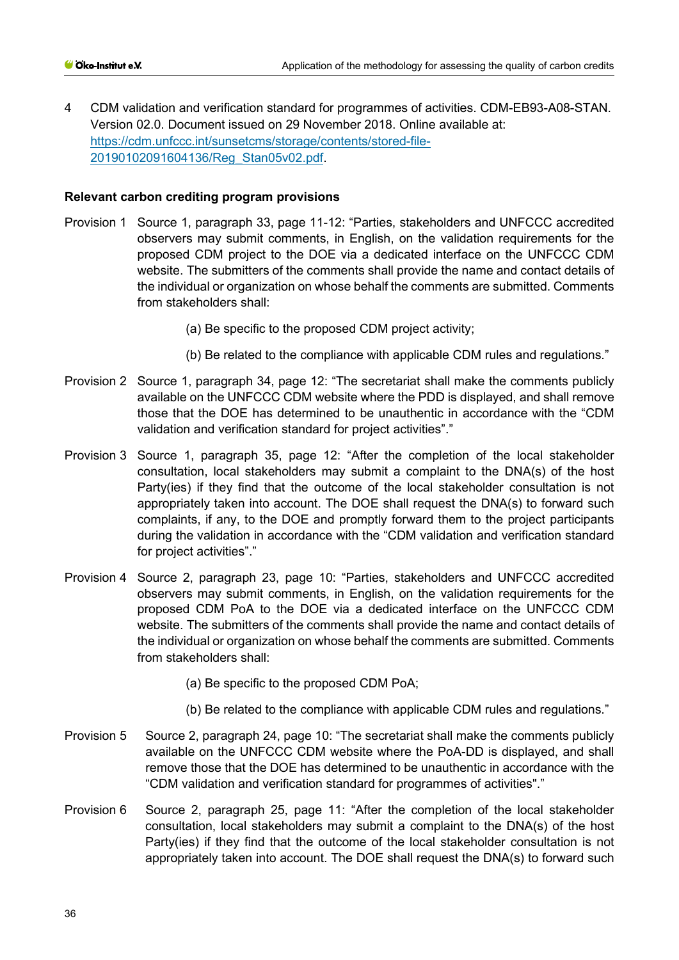4 CDM validation and verification standard for programmes of activities. CDM-EB93-A08-STAN. Version 02.0. Document issued on 29 November 2018. Online available at: [https://cdm.unfccc.int/sunsetcms/storage/contents/stored-file-](https://cdm.unfccc.int/sunsetcms/storage/contents/stored-file-20190102091604136/Reg_Stan05v02.pdf)[20190102091604136/Reg\\_Stan05v02.pdf.](https://cdm.unfccc.int/sunsetcms/storage/contents/stored-file-20190102091604136/Reg_Stan05v02.pdf)

- Provision 1 Source 1, paragraph 33, page 11-12: "Parties, stakeholders and UNFCCC accredited observers may submit comments, in English, on the validation requirements for the proposed CDM project to the DOE via a dedicated interface on the UNFCCC CDM website. The submitters of the comments shall provide the name and contact details of the individual or organization on whose behalf the comments are submitted. Comments from stakeholders shall:
	- (a) Be specific to the proposed CDM project activity;
	- (b) Be related to the compliance with applicable CDM rules and regulations."
- Provision 2 Source 1, paragraph 34, page 12: "The secretariat shall make the comments publicly available on the UNFCCC CDM website where the PDD is displayed, and shall remove those that the DOE has determined to be unauthentic in accordance with the "CDM validation and verification standard for project activities"."
- Provision 3 Source 1, paragraph 35, page 12: "After the completion of the local stakeholder consultation, local stakeholders may submit a complaint to the DNA(s) of the host Party(ies) if they find that the outcome of the local stakeholder consultation is not appropriately taken into account. The DOE shall request the DNA(s) to forward such complaints, if any, to the DOE and promptly forward them to the project participants during the validation in accordance with the "CDM validation and verification standard for project activities"."
- Provision 4 Source 2, paragraph 23, page 10: "Parties, stakeholders and UNFCCC accredited observers may submit comments, in English, on the validation requirements for the proposed CDM PoA to the DOE via a dedicated interface on the UNFCCC CDM website. The submitters of the comments shall provide the name and contact details of the individual or organization on whose behalf the comments are submitted. Comments from stakeholders shall:
	- (a) Be specific to the proposed CDM PoA;
	- (b) Be related to the compliance with applicable CDM rules and regulations."
- Provision 5 Source 2, paragraph 24, page 10: "The secretariat shall make the comments publicly available on the UNFCCC CDM website where the PoA-DD is displayed, and shall remove those that the DOE has determined to be unauthentic in accordance with the "CDM validation and verification standard for programmes of activities"."
- Provision 6 Source 2, paragraph 25, page 11: "After the completion of the local stakeholder consultation, local stakeholders may submit a complaint to the DNA(s) of the host Party(ies) if they find that the outcome of the local stakeholder consultation is not appropriately taken into account. The DOE shall request the DNA(s) to forward such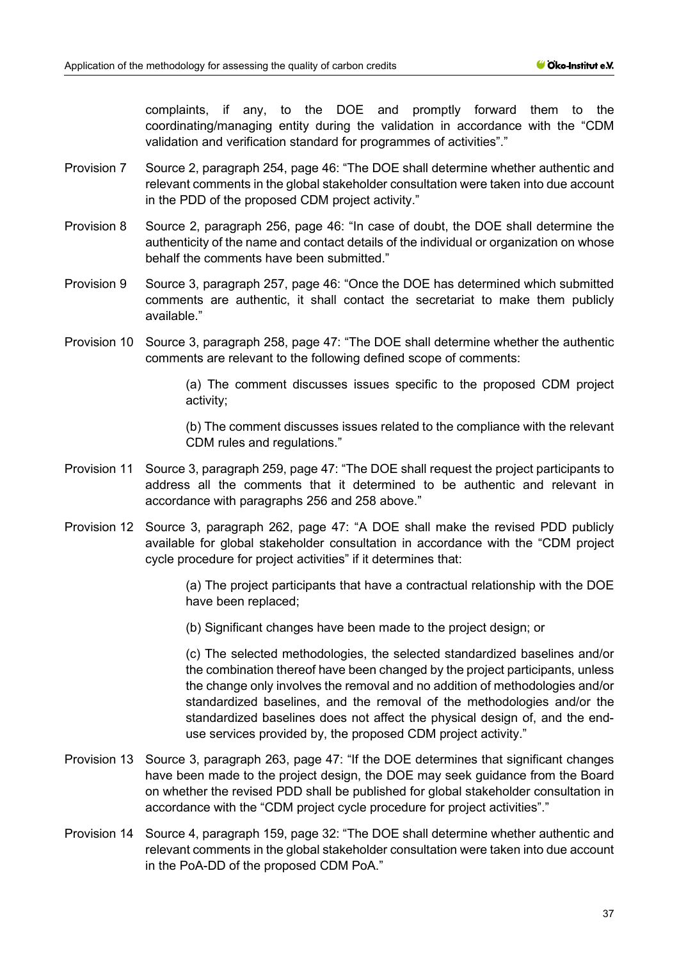complaints, if any, to the DOE and promptly forward them to the coordinating/managing entity during the validation in accordance with the "CDM validation and verification standard for programmes of activities"."

- Provision 7 Source 2, paragraph 254, page 46: "The DOE shall determine whether authentic and relevant comments in the global stakeholder consultation were taken into due account in the PDD of the proposed CDM project activity."
- Provision 8 Source 2, paragraph 256, page 46: "In case of doubt, the DOE shall determine the authenticity of the name and contact details of the individual or organization on whose behalf the comments have been submitted."
- Provision 9 Source 3, paragraph 257, page 46: "Once the DOE has determined which submitted comments are authentic, it shall contact the secretariat to make them publicly available."
- Provision 10 Source 3, paragraph 258, page 47: "The DOE shall determine whether the authentic comments are relevant to the following defined scope of comments:

(a) The comment discusses issues specific to the proposed CDM project activity;

(b) The comment discusses issues related to the compliance with the relevant CDM rules and regulations."

- Provision 11 Source 3, paragraph 259, page 47: "The DOE shall request the project participants to address all the comments that it determined to be authentic and relevant in accordance with paragraphs 256 and 258 above."
- Provision 12 Source 3, paragraph 262, page 47: "A DOE shall make the revised PDD publicly available for global stakeholder consultation in accordance with the "CDM project cycle procedure for project activities" if it determines that:

(a) The project participants that have a contractual relationship with the DOE have been replaced;

(b) Significant changes have been made to the project design; or

(c) The selected methodologies, the selected standardized baselines and/or the combination thereof have been changed by the project participants, unless the change only involves the removal and no addition of methodologies and/or standardized baselines, and the removal of the methodologies and/or the standardized baselines does not affect the physical design of, and the enduse services provided by, the proposed CDM project activity."

- Provision 13 Source 3, paragraph 263, page 47: "If the DOE determines that significant changes have been made to the project design, the DOE may seek guidance from the Board on whether the revised PDD shall be published for global stakeholder consultation in accordance with the "CDM project cycle procedure for project activities"."
- Provision 14 Source 4, paragraph 159, page 32: "The DOE shall determine whether authentic and relevant comments in the global stakeholder consultation were taken into due account in the PoA-DD of the proposed CDM PoA."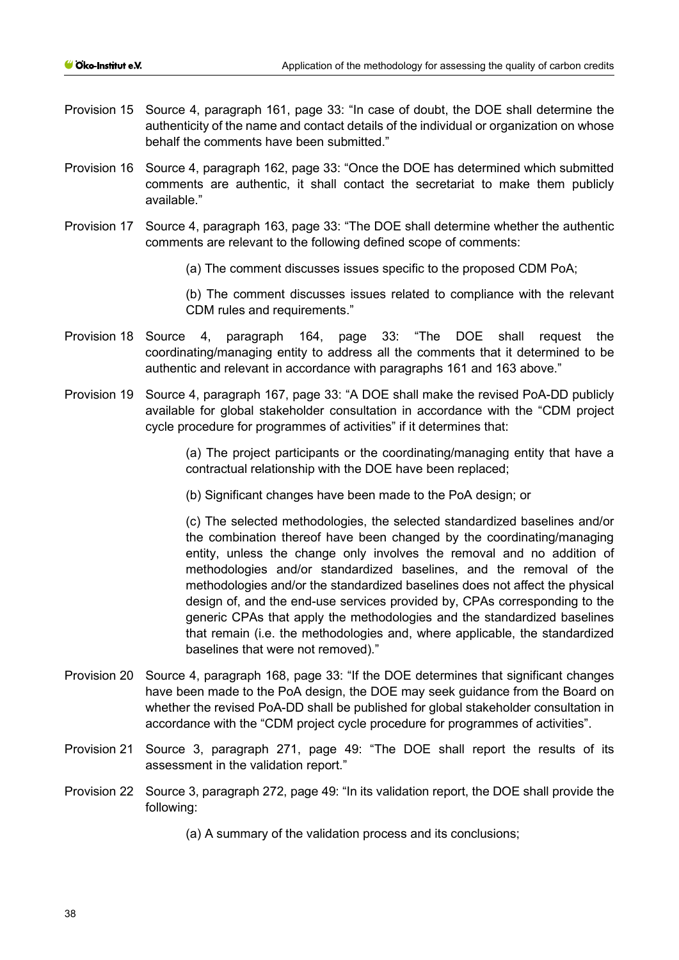- Provision 15 Source 4, paragraph 161, page 33: "In case of doubt, the DOE shall determine the authenticity of the name and contact details of the individual or organization on whose behalf the comments have been submitted."
- Provision 16 Source 4, paragraph 162, page 33: "Once the DOE has determined which submitted comments are authentic, it shall contact the secretariat to make them publicly available."
- Provision 17 Source 4, paragraph 163, page 33: "The DOE shall determine whether the authentic comments are relevant to the following defined scope of comments:
	- (a) The comment discusses issues specific to the proposed CDM PoA;

(b) The comment discusses issues related to compliance with the relevant CDM rules and requirements."

- Provision 18 Source 4, paragraph 164, page 33: "The DOE shall request the coordinating/managing entity to address all the comments that it determined to be authentic and relevant in accordance with paragraphs 161 and 163 above."
- Provision 19 Source 4, paragraph 167, page 33: "A DOE shall make the revised PoA-DD publicly available for global stakeholder consultation in accordance with the "CDM project cycle procedure for programmes of activities" if it determines that:

(a) The project participants or the coordinating/managing entity that have a contractual relationship with the DOE have been replaced;

(b) Significant changes have been made to the PoA design; or

(c) The selected methodologies, the selected standardized baselines and/or the combination thereof have been changed by the coordinating/managing entity, unless the change only involves the removal and no addition of methodologies and/or standardized baselines, and the removal of the methodologies and/or the standardized baselines does not affect the physical design of, and the end-use services provided by, CPAs corresponding to the generic CPAs that apply the methodologies and the standardized baselines that remain (i.e. the methodologies and, where applicable, the standardized baselines that were not removed)."

- Provision 20 Source 4, paragraph 168, page 33: "If the DOE determines that significant changes have been made to the PoA design, the DOE may seek guidance from the Board on whether the revised PoA-DD shall be published for global stakeholder consultation in accordance with the "CDM project cycle procedure for programmes of activities".
- Provision 21 Source 3, paragraph 271, page 49: "The DOE shall report the results of its assessment in the validation report."
- Provision 22 Source 3, paragraph 272, page 49: "In its validation report, the DOE shall provide the following:

(a) A summary of the validation process and its conclusions;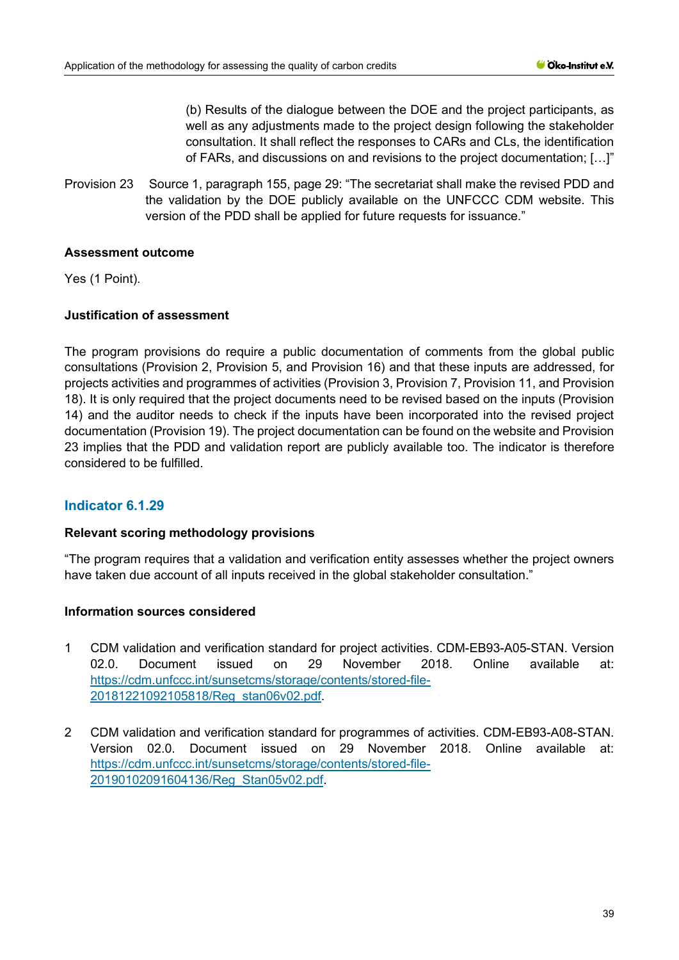(b) Results of the dialogue between the DOE and the project participants, as well as any adjustments made to the project design following the stakeholder consultation. It shall reflect the responses to CARs and CLs, the identification of FARs, and discussions on and revisions to the project documentation; […]"

Provision 23 Source 1, paragraph 155, page 29: "The secretariat shall make the revised PDD and the validation by the DOE publicly available on the UNFCCC CDM website. This version of the PDD shall be applied for future requests for issuance."

# **Assessment outcome**

Yes (1 Point).

# **Justification of assessment**

The program provisions do require a public documentation of comments from the global public consultations (Provision 2, Provision 5, and Provision 16) and that these inputs are addressed, for projects activities and programmes of activities (Provision 3, Provision 7, Provision 11, and Provision 18). It is only required that the project documents need to be revised based on the inputs (Provision 14) and the auditor needs to check if the inputs have been incorporated into the revised project documentation (Provision 19). The project documentation can be found on the website and Provision 23 implies that the PDD and validation report are publicly available too. The indicator is therefore considered to be fulfilled.

# **Indicator 6.1.29**

## **Relevant scoring methodology provisions**

"The program requires that a validation and verification entity assesses whether the project owners have taken due account of all inputs received in the global stakeholder consultation."

## **Information sources considered**

- 1 CDM validation and verification standard for project activities. CDM-EB93-A05-STAN. Version 02.0. Document issued on 29 November 2018. Online available at: [https://cdm.unfccc.int/sunsetcms/storage/contents/stored-file-](https://cdm.unfccc.int/sunsetcms/storage/contents/stored-file-20181221092105818/Reg_stan06v02.pdf)[20181221092105818/Reg\\_stan06v02.pdf.](https://cdm.unfccc.int/sunsetcms/storage/contents/stored-file-20181221092105818/Reg_stan06v02.pdf)
- 2 CDM validation and verification standard for programmes of activities. CDM-EB93-A08-STAN. Version 02.0. Document issued on 29 November 2018. Online available at: [https://cdm.unfccc.int/sunsetcms/storage/contents/stored-file-](https://cdm.unfccc.int/sunsetcms/storage/contents/stored-file-20190102091604136/Reg_Stan05v02.pdf)[20190102091604136/Reg\\_Stan05v02.pdf.](https://cdm.unfccc.int/sunsetcms/storage/contents/stored-file-20190102091604136/Reg_Stan05v02.pdf)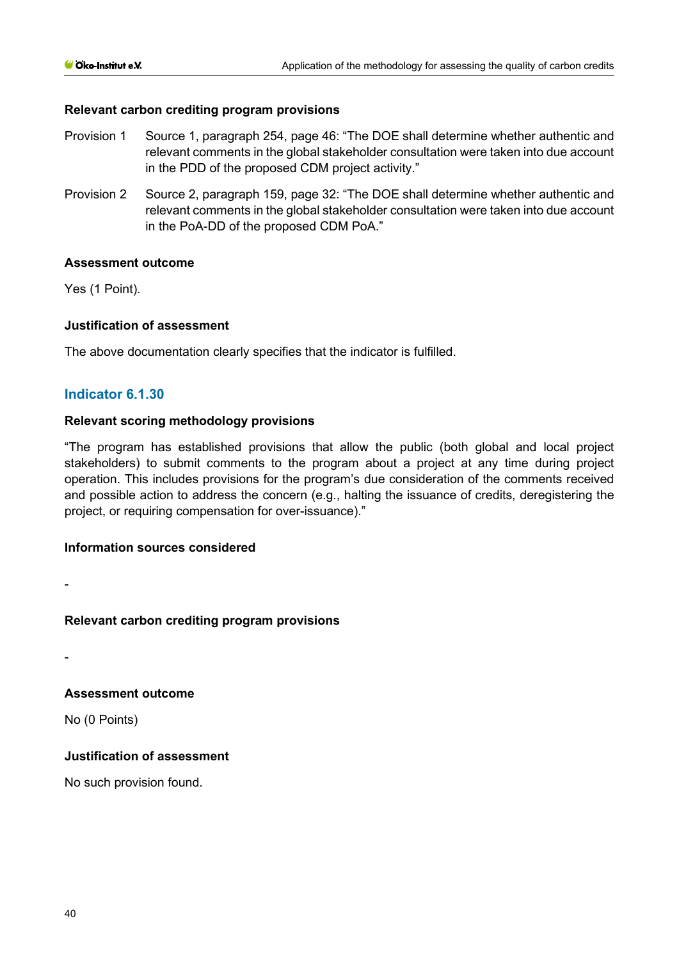## **Relevant carbon crediting program provisions**

- Provision 1 Source 1, paragraph 254, page 46: "The DOE shall determine whether authentic and relevant comments in the global stakeholder consultation were taken into due account in the PDD of the proposed CDM project activity."
- Provision 2 Source 2, paragraph 159, page 32: "The DOE shall determine whether authentic and relevant comments in the global stakeholder consultation were taken into due account in the PoA-DD of the proposed CDM PoA."

#### **Assessment outcome**

Yes (1 Point).

#### **Justification of assessment**

The above documentation clearly specifies that the indicator is fulfilled.

## **Indicator 6.1.30**

## **Relevant scoring methodology provisions**

"The program has established provisions that allow the public (both global and local project stakeholders) to submit comments to the program about a project at any time during project operation. This includes provisions for the program's due consideration of the comments received and possible action to address the concern (e.g., halting the issuance of credits, deregistering the project, or requiring compensation for over-issuance)."

#### **Information sources considered**

-

## **Relevant carbon crediting program provisions**

-

# **Assessment outcome**

No (0 Points)

# **Justification of assessment**

No such provision found.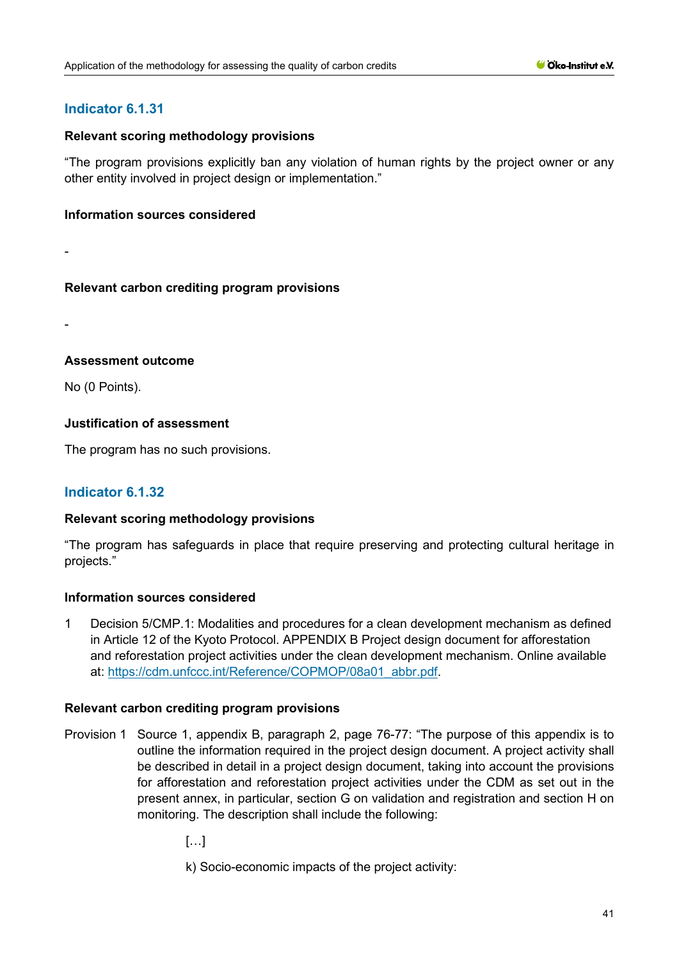# **Indicator 6.1.31**

#### **Relevant scoring methodology provisions**

"The program provisions explicitly ban any violation of human rights by the project owner or any other entity involved in project design or implementation."

#### **Information sources considered**

-

#### **Relevant carbon crediting program provisions**

-

## **Assessment outcome**

No (0 Points).

## **Justification of assessment**

The program has no such provisions.

# **Indicator 6.1.32**

## **Relevant scoring methodology provisions**

"The program has safeguards in place that require preserving and protecting cultural heritage in projects."

## **Information sources considered**

1 Decision 5/CMP.1: Modalities and procedures for a clean development mechanism as defined in Article 12 of the Kyoto Protocol. APPENDIX B Project design document for afforestation and reforestation project activities under the clean development mechanism. Online available at: [https://cdm.unfccc.int/Reference/COPMOP/08a01\\_abbr.pdf.](https://cdm.unfccc.int/Reference/COPMOP/08a01_abbr.pdf)

- Provision 1 Source 1, appendix B, paragraph 2, page 76-77: "The purpose of this appendix is to outline the information required in the project design document. A project activity shall be described in detail in a project design document, taking into account the provisions for afforestation and reforestation project activities under the CDM as set out in the present annex, in particular, section G on validation and registration and section H on monitoring. The description shall include the following:
	- […]
	- k) Socio-economic impacts of the project activity: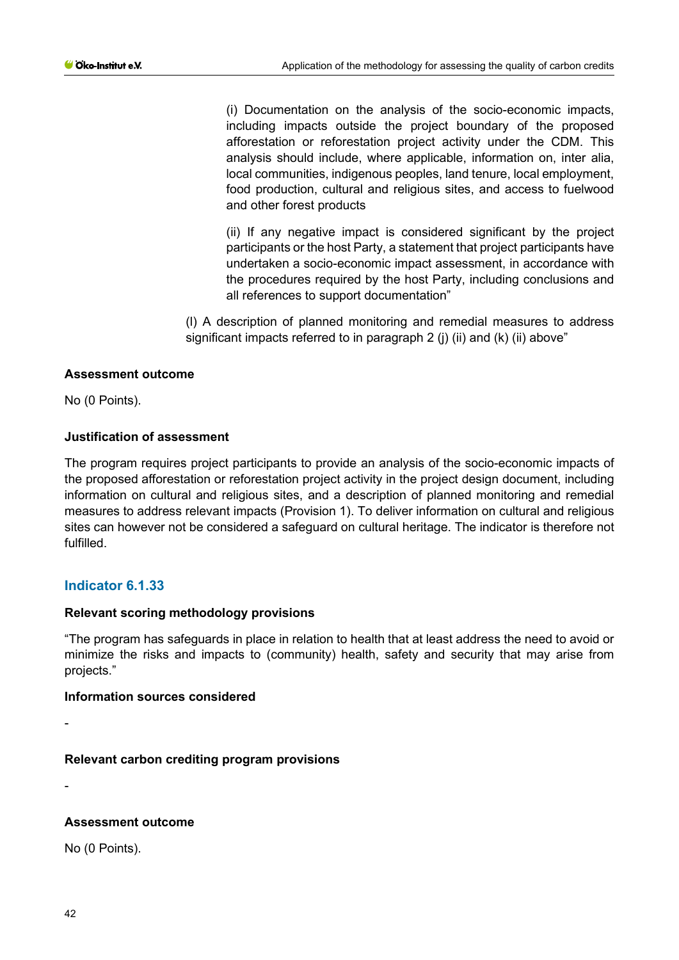(i) Documentation on the analysis of the socio-economic impacts, including impacts outside the project boundary of the proposed afforestation or reforestation project activity under the CDM. This analysis should include, where applicable, information on, inter alia, local communities, indigenous peoples, land tenure, local employment, food production, cultural and religious sites, and access to fuelwood and other forest products

(ii) If any negative impact is considered significant by the project participants or the host Party, a statement that project participants have undertaken a socio-economic impact assessment, in accordance with the procedures required by the host Party, including conclusions and all references to support documentation"

(l) A description of planned monitoring and remedial measures to address significant impacts referred to in paragraph 2 (i) (ii) and (k) (ii) above"

## **Assessment outcome**

No (0 Points).

## **Justification of assessment**

The program requires project participants to provide an analysis of the socio-economic impacts of the proposed afforestation or reforestation project activity in the project design document, including information on cultural and religious sites, and a description of planned monitoring and remedial measures to address relevant impacts (Provision 1). To deliver information on cultural and religious sites can however not be considered a safeguard on cultural heritage. The indicator is therefore not fulfilled.

## **Indicator 6.1.33**

## **Relevant scoring methodology provisions**

"The program has safeguards in place in relation to health that at least address the need to avoid or minimize the risks and impacts to (community) health, safety and security that may arise from projects."

## **Information sources considered**

-

## **Relevant carbon crediting program provisions**

-

## **Assessment outcome**

No (0 Points).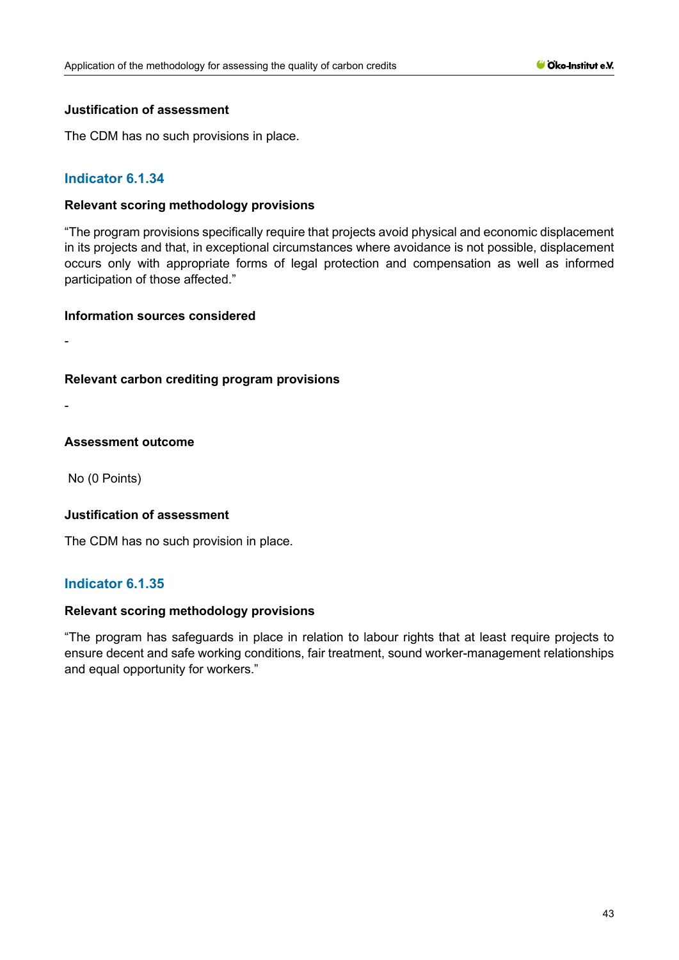#### **Justification of assessment**

The CDM has no such provisions in place.

# **Indicator 6.1.34**

#### **Relevant scoring methodology provisions**

"The program provisions specifically require that projects avoid physical and economic displacement in its projects and that, in exceptional circumstances where avoidance is not possible, displacement occurs only with appropriate forms of legal protection and compensation as well as informed participation of those affected."

#### **Information sources considered**

-

## **Relevant carbon crediting program provisions**

-

#### **Assessment outcome**

No (0 Points)

## **Justification of assessment**

The CDM has no such provision in place.

## **Indicator 6.1.35**

## **Relevant scoring methodology provisions**

"The program has safeguards in place in relation to labour rights that at least require projects to ensure decent and safe working conditions, fair treatment, sound worker-management relationships and equal opportunity for workers."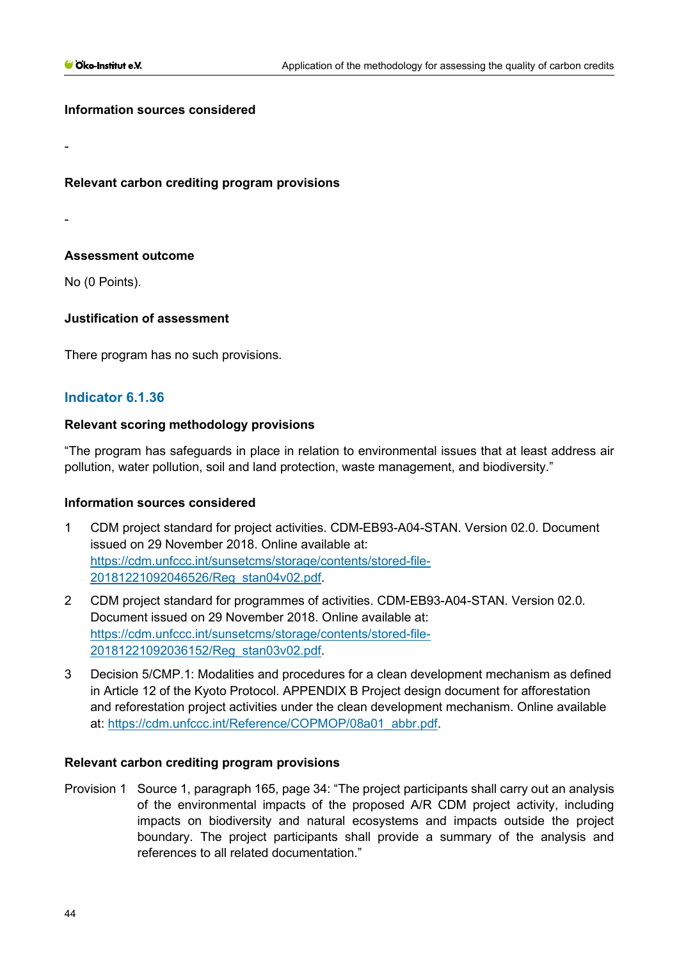-

-

#### **Information sources considered**

**Relevant carbon crediting program provisions**

**Assessment outcome**

No (0 Points).

# **Justification of assessment**

There program has no such provisions.

# **Indicator 6.1.36**

## **Relevant scoring methodology provisions**

"The program has safeguards in place in relation to environmental issues that at least address air pollution, water pollution, soil and land protection, waste management, and biodiversity."

## **Information sources considered**

- 1 CDM project standard for project activities. CDM-EB93-A04-STAN. Version 02.0. Document issued on 29 November 2018. Online available at: [https://cdm.unfccc.int/sunsetcms/storage/contents/stored-file-](https://cdm.unfccc.int/sunsetcms/storage/contents/stored-file-20181221092046526/Reg_stan04v02.pdf)[20181221092046526/Reg\\_stan04v02.pdf.](https://cdm.unfccc.int/sunsetcms/storage/contents/stored-file-20181221092046526/Reg_stan04v02.pdf)
- 2 CDM project standard for programmes of activities. CDM-EB93-A04-STAN. Version 02.0. Document issued on 29 November 2018. Online available at: [https://cdm.unfccc.int/sunsetcms/storage/contents/stored-file-](https://cdm.unfccc.int/sunsetcms/storage/contents/stored-file-20181221092036152/Reg_stan03v02.pdf)[20181221092036152/Reg\\_stan03v02.pdf.](https://cdm.unfccc.int/sunsetcms/storage/contents/stored-file-20181221092036152/Reg_stan03v02.pdf)
- 3 Decision 5/CMP.1: Modalities and procedures for a clean development mechanism as defined in Article 12 of the Kyoto Protocol. APPENDIX B Project design document for afforestation and reforestation project activities under the clean development mechanism. Online available at: [https://cdm.unfccc.int/Reference/COPMOP/08a01\\_abbr.pdf.](https://cdm.unfccc.int/Reference/COPMOP/08a01_abbr.pdf)

## **Relevant carbon crediting program provisions**

Provision 1 Source 1, paragraph 165, page 34: "The project participants shall carry out an analysis of the environmental impacts of the proposed A/R CDM project activity, including impacts on biodiversity and natural ecosystems and impacts outside the project boundary. The project participants shall provide a summary of the analysis and references to all related documentation."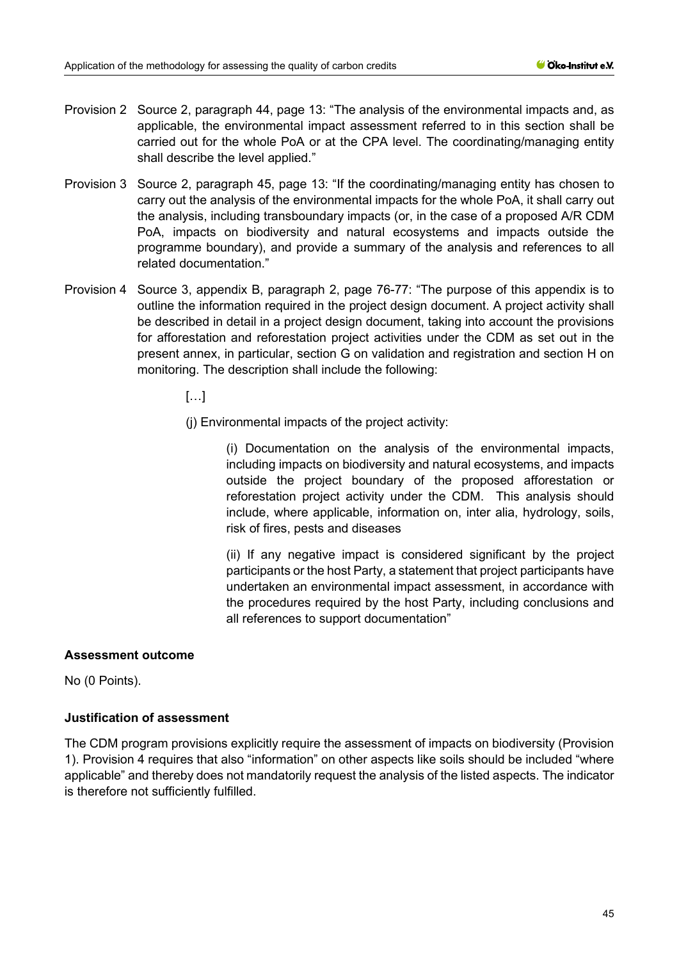- Provision 2 Source 2, paragraph 44, page 13: "The analysis of the environmental impacts and, as applicable, the environmental impact assessment referred to in this section shall be carried out for the whole PoA or at the CPA level. The coordinating/managing entity shall describe the level applied."
- Provision 3 Source 2, paragraph 45, page 13: "If the coordinating/managing entity has chosen to carry out the analysis of the environmental impacts for the whole PoA, it shall carry out the analysis, including transboundary impacts (or, in the case of a proposed A/R CDM PoA, impacts on biodiversity and natural ecosystems and impacts outside the programme boundary), and provide a summary of the analysis and references to all related documentation."
- Provision 4 Source 3, appendix B, paragraph 2, page 76-77: "The purpose of this appendix is to outline the information required in the project design document. A project activity shall be described in detail in a project design document, taking into account the provisions for afforestation and reforestation project activities under the CDM as set out in the present annex, in particular, section G on validation and registration and section H on monitoring. The description shall include the following:
	- $\left[\ldots\right]$
	- (j) Environmental impacts of the project activity:

(i) Documentation on the analysis of the environmental impacts, including impacts on biodiversity and natural ecosystems, and impacts outside the project boundary of the proposed afforestation or reforestation project activity under the CDM. This analysis should include, where applicable, information on, inter alia, hydrology, soils, risk of fires, pests and diseases

(ii) If any negative impact is considered significant by the project participants or the host Party, a statement that project participants have undertaken an environmental impact assessment, in accordance with the procedures required by the host Party, including conclusions and all references to support documentation"

## **Assessment outcome**

No (0 Points).

## **Justification of assessment**

The CDM program provisions explicitly require the assessment of impacts on biodiversity (Provision 1). Provision 4 requires that also "information" on other aspects like soils should be included "where applicable" and thereby does not mandatorily request the analysis of the listed aspects. The indicator is therefore not sufficiently fulfilled.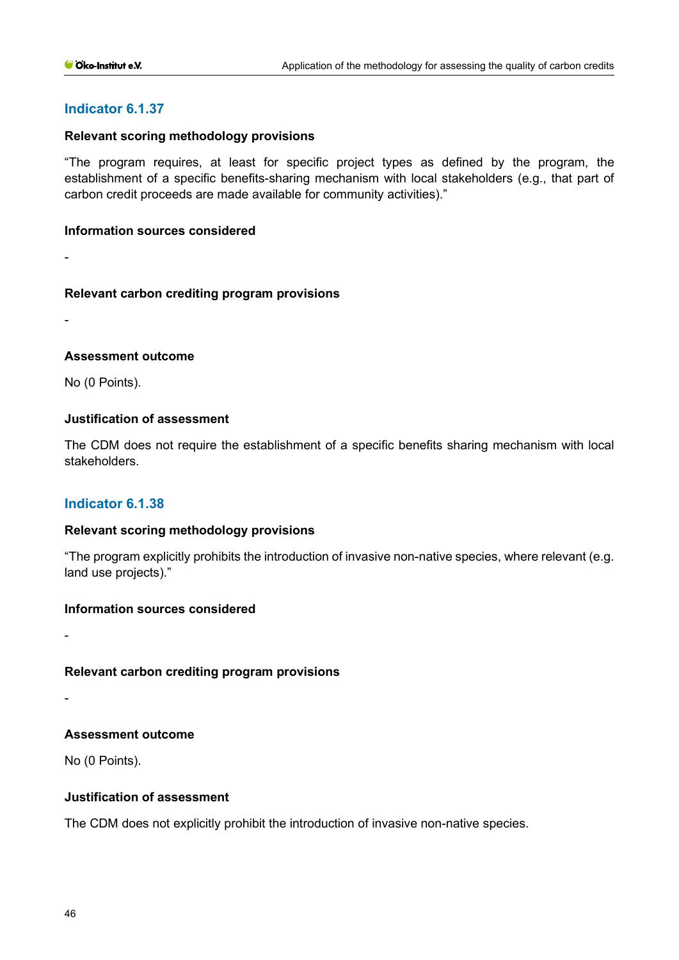# **Indicator 6.1.37**

#### **Relevant scoring methodology provisions**

"The program requires, at least for specific project types as defined by the program, the establishment of a specific benefits-sharing mechanism with local stakeholders (e.g., that part of carbon credit proceeds are made available for community activities)."

#### **Information sources considered**

-

## **Relevant carbon crediting program provisions**

-

## **Assessment outcome**

No (0 Points).

## **Justification of assessment**

The CDM does not require the establishment of a specific benefits sharing mechanism with local stakeholders.

## **Indicator 6.1.38**

## **Relevant scoring methodology provisions**

"The program explicitly prohibits the introduction of invasive non-native species, where relevant (e.g. land use projects)."

## **Information sources considered**

-

-

# **Relevant carbon crediting program provisions**

**Assessment outcome**

No (0 Points).

# **Justification of assessment**

The CDM does not explicitly prohibit the introduction of invasive non-native species.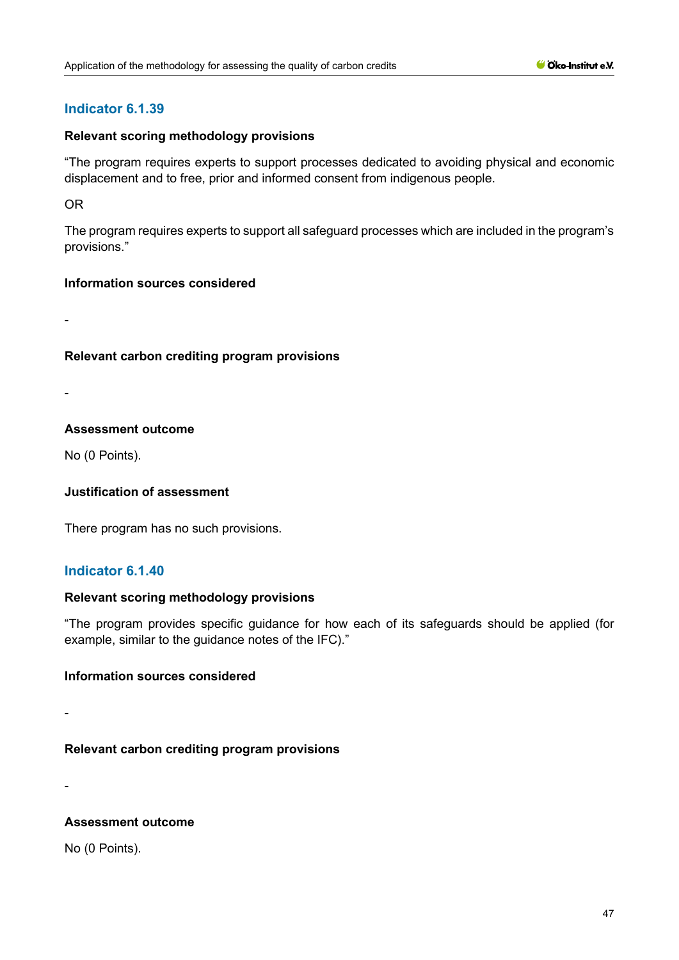# **Indicator 6.1.39**

#### **Relevant scoring methodology provisions**

"The program requires experts to support processes dedicated to avoiding physical and economic displacement and to free, prior and informed consent from indigenous people.

OR

The program requires experts to support all safeguard processes which are included in the program's provisions."

#### **Information sources considered**

-

## **Relevant carbon crediting program provisions**

-

#### **Assessment outcome**

No (0 Points).

## **Justification of assessment**

There program has no such provisions.

# **Indicator 6.1.40**

#### **Relevant scoring methodology provisions**

"The program provides specific guidance for how each of its safeguards should be applied (for example, similar to the guidance notes of the IFC)."

#### **Information sources considered**

-

# **Relevant carbon crediting program provisions**

-

## **Assessment outcome**

No (0 Points).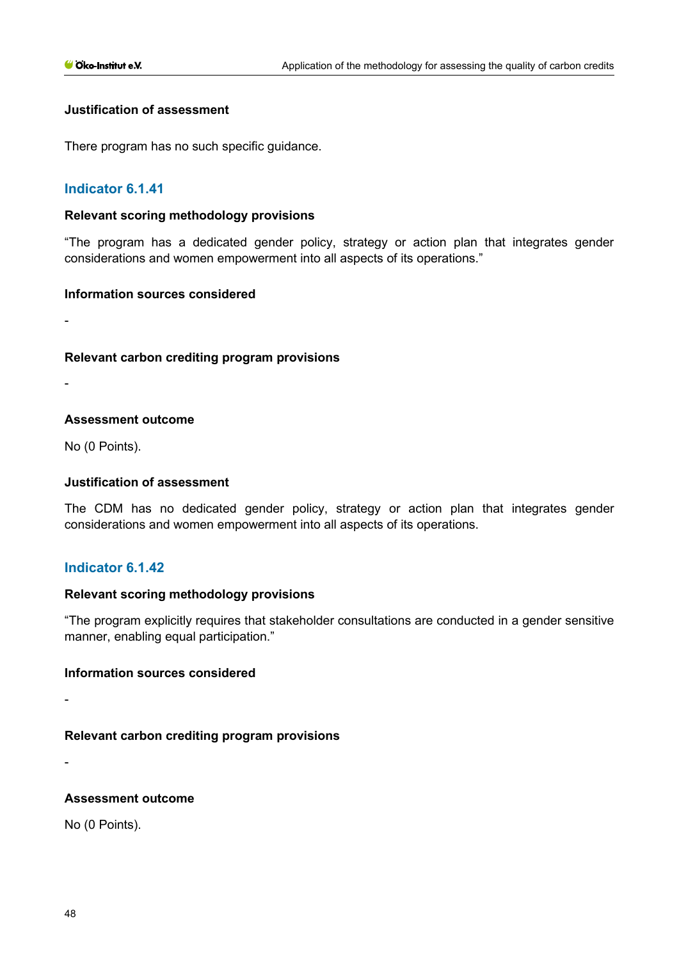#### **Justification of assessment**

There program has no such specific guidance.

## **Indicator 6.1.41**

#### **Relevant scoring methodology provisions**

"The program has a dedicated gender policy, strategy or action plan that integrates gender considerations and women empowerment into all aspects of its operations."

#### **Information sources considered**

-

## **Relevant carbon crediting program provisions**

-

#### **Assessment outcome**

No (0 Points).

#### **Justification of assessment**

The CDM has no dedicated gender policy, strategy or action plan that integrates gender considerations and women empowerment into all aspects of its operations.

# **Indicator 6.1.42**

#### **Relevant scoring methodology provisions**

"The program explicitly requires that stakeholder consultations are conducted in a gender sensitive manner, enabling equal participation."

#### **Information sources considered**

**Relevant carbon crediting program provisions**

-

-

#### **Assessment outcome**

No (0 Points).